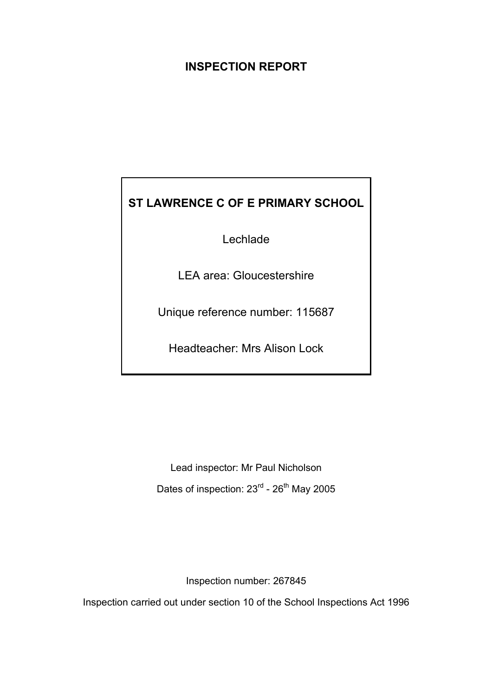# **INSPECTION REPORT**

# **ST LAWRENCE C OF E PRIMARY SCHOOL**

Lechlade

LEA area: Gloucestershire

Unique reference number: 115687

Headteacher: Mrs Alison Lock

Lead inspector: Mr Paul Nicholson Dates of inspection: 23<sup>rd</sup> - 26<sup>th</sup> May 2005

Inspection number: 267845

Inspection carried out under section 10 of the School Inspections Act 1996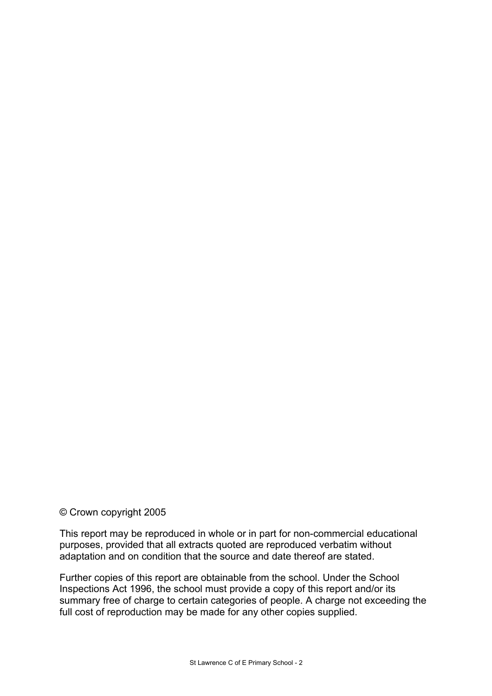#### © Crown copyright 2005

This report may be reproduced in whole or in part for non-commercial educational purposes, provided that all extracts quoted are reproduced verbatim without adaptation and on condition that the source and date thereof are stated.

Further copies of this report are obtainable from the school. Under the School Inspections Act 1996, the school must provide a copy of this report and/or its summary free of charge to certain categories of people. A charge not exceeding the full cost of reproduction may be made for any other copies supplied.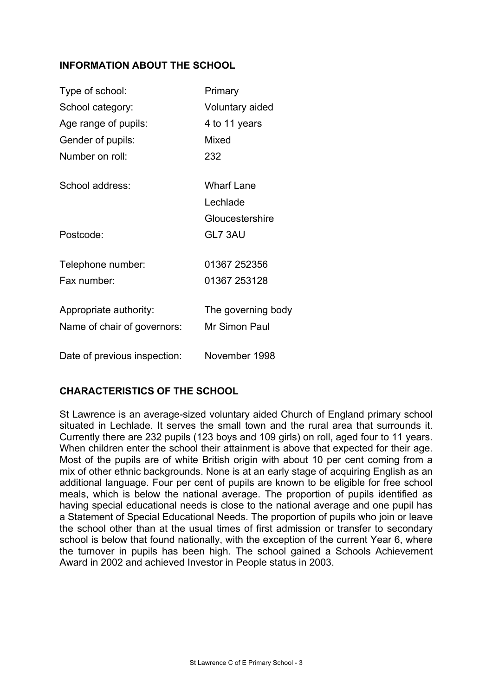# **INFORMATION ABOUT THE SCHOOL**

| Type of school:              | Primary            |
|------------------------------|--------------------|
| School category:             | Voluntary aided    |
| Age range of pupils:         | 4 to 11 years      |
| Gender of pupils:            | Mixed              |
| Number on roll:              | 232                |
| School address:              | <b>Wharf Lane</b>  |
|                              | Lechlade           |
|                              | Gloucestershire    |
| Postcode:                    | GL7 3AU            |
| Telephone number:            | 01367 252356       |
| Fax number:                  | 01367 253128       |
| Appropriate authority:       | The governing body |
| Name of chair of governors:  | Mr Simon Paul      |
| Date of previous inspection: | November 1998      |

## **CHARACTERISTICS OF THE SCHOOL**

St Lawrence is an average-sized voluntary aided Church of England primary school situated in Lechlade. It serves the small town and the rural area that surrounds it. Currently there are 232 pupils (123 boys and 109 girls) on roll, aged four to 11 years. When children enter the school their attainment is above that expected for their age. Most of the pupils are of white British origin with about 10 per cent coming from a mix of other ethnic backgrounds. None is at an early stage of acquiring English as an additional language. Four per cent of pupils are known to be eligible for free school meals, which is below the national average. The proportion of pupils identified as having special educational needs is close to the national average and one pupil has a Statement of Special Educational Needs. The proportion of pupils who join or leave the school other than at the usual times of first admission or transfer to secondary school is below that found nationally, with the exception of the current Year 6, where the turnover in pupils has been high. The school gained a Schools Achievement Award in 2002 and achieved Investor in People status in 2003.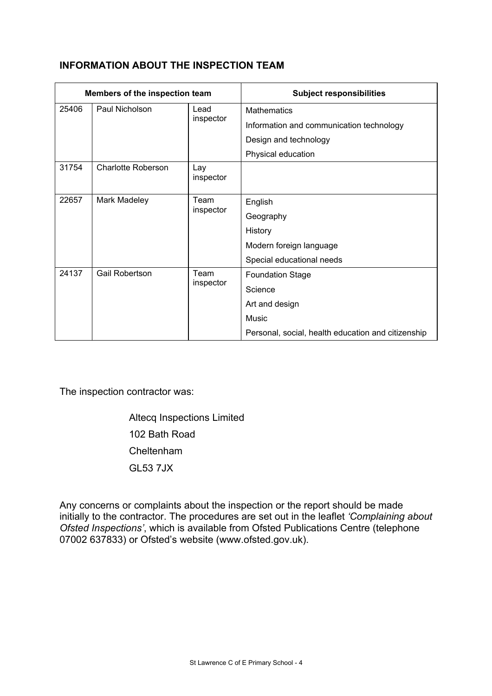# **INFORMATION ABOUT THE INSPECTION TEAM**

| Members of the inspection team |                           |                  | <b>Subject responsibilities</b>                    |
|--------------------------------|---------------------------|------------------|----------------------------------------------------|
| 25406                          | Paul Nicholson            | Lead             | <b>Mathematics</b>                                 |
|                                |                           | inspector        | Information and communication technology           |
|                                |                           |                  | Design and technology                              |
|                                |                           |                  | Physical education                                 |
| 31754                          | <b>Charlotte Roberson</b> | Lay<br>inspector |                                                    |
| 22657<br>Mark Madeley<br>Team  | English                   |                  |                                                    |
|                                |                           | inspector        | Geography                                          |
|                                |                           |                  | History                                            |
|                                |                           |                  | Modern foreign language                            |
|                                |                           |                  | Special educational needs                          |
| 24137                          | <b>Gail Robertson</b>     | Team             | <b>Foundation Stage</b>                            |
|                                |                           | inspector        | Science                                            |
|                                |                           |                  | Art and design                                     |
|                                |                           |                  | Music                                              |
|                                |                           |                  | Personal, social, health education and citizenship |

The inspection contractor was:

 Altecq Inspections Limited 102 Bath Road Cheltenham GL53 7JX

Any concerns or complaints about the inspection or the report should be made initially to the contractor. The procedures are set out in the leaflet *'Complaining about Ofsted Inspections'*, which is available from Ofsted Publications Centre (telephone 07002 637833) or Ofsted's website (www.ofsted.gov.uk).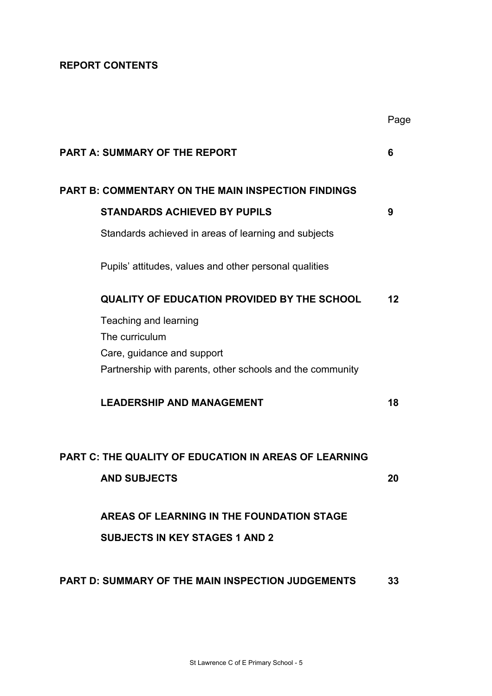# **REPORT CONTENTS**

|                                                           | Page |
|-----------------------------------------------------------|------|
| <b>PART A: SUMMARY OF THE REPORT</b>                      | 6    |
| <b>PART B: COMMENTARY ON THE MAIN INSPECTION FINDINGS</b> |      |
| <b>STANDARDS ACHIEVED BY PUPILS</b>                       | 9    |
| Standards achieved in areas of learning and subjects      |      |
| Pupils' attitudes, values and other personal qualities    |      |
| <b>QUALITY OF EDUCATION PROVIDED BY THE SCHOOL</b>        | 12   |
| Teaching and learning                                     |      |
| The curriculum                                            |      |
| Care, guidance and support                                |      |
| Partnership with parents, other schools and the community |      |
| <b>LEADERSHIP AND MANAGEMENT</b>                          | 18   |
| PART C: THE QUALITY OF EDUCATION IN AREAS OF LEARNING     |      |
| <b>AND SUBJECTS</b>                                       | 20   |
| AREAS OF LEARNING IN THE FOUNDATION STAGE                 |      |
| <b>SUBJECTS IN KEY STAGES 1 AND 2</b>                     |      |
| <b>PART D: SUMMARY OF THE MAIN INSPECTION JUDGEMENTS</b>  | 33   |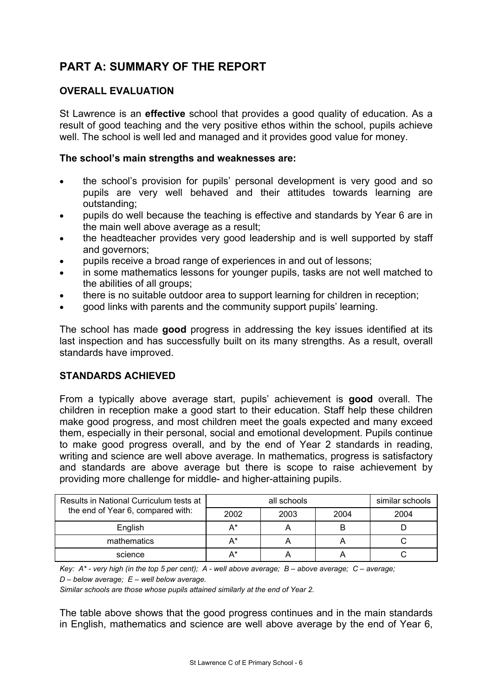# **PART A: SUMMARY OF THE REPORT**

# **OVERALL EVALUATION**

St Lawrence is an **effective** school that provides a good quality of education. As a result of good teaching and the very positive ethos within the school, pupils achieve well. The school is well led and managed and it provides good value for money.

## **The school's main strengths and weaknesses are:**

- the school's provision for pupils' personal development is very good and so pupils are very well behaved and their attitudes towards learning are outstanding;
- pupils do well because the teaching is effective and standards by Year 6 are in the main well above average as a result;
- the headteacher provides very good leadership and is well supported by staff and governors;
- pupils receive a broad range of experiences in and out of lessons;
- in some mathematics lessons for younger pupils, tasks are not well matched to the abilities of all groups;
- there is no suitable outdoor area to support learning for children in reception;
- good links with parents and the community support pupils' learning.

The school has made **good** progress in addressing the key issues identified at its last inspection and has successfully built on its many strengths. As a result, overall standards have improved.

## **STANDARDS ACHIEVED**

From a typically above average start, pupils' achievement is **good** overall. The children in reception make a good start to their education. Staff help these children make good progress, and most children meet the goals expected and many exceed them, especially in their personal, social and emotional development. Pupils continue to make good progress overall, and by the end of Year 2 standards in reading, writing and science are well above average. In mathematics, progress is satisfactory and standards are above average but there is scope to raise achievement by providing more challenge for middle- and higher-attaining pupils.

| Results in National Curriculum tests at |       | similar schools |      |      |
|-----------------------------------------|-------|-----------------|------|------|
| the end of Year 6, compared with:       | 2002  | 2003            | 2004 | 2004 |
| English                                 | $A^*$ |                 | B    |      |
| mathematics                             | $A^*$ |                 |      |      |
| science                                 | $A^*$ |                 |      |      |

*Key: A\* - very high (in the top 5 per cent); A - well above average; B – above average; C – average; D – below average; E – well below average.* 

*Similar schools are those whose pupils attained similarly at the end of Year 2.* 

The table above shows that the good progress continues and in the main standards in English, mathematics and science are well above average by the end of Year 6,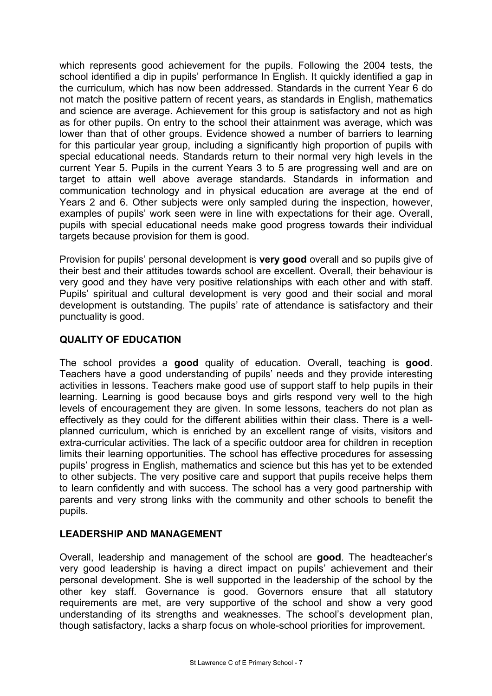which represents good achievement for the pupils. Following the 2004 tests, the school identified a dip in pupils' performance In English. It quickly identified a gap in the curriculum, which has now been addressed. Standards in the current Year 6 do not match the positive pattern of recent years, as standards in English, mathematics and science are average. Achievement for this group is satisfactory and not as high as for other pupils. On entry to the school their attainment was average, which was lower than that of other groups. Evidence showed a number of barriers to learning for this particular year group, including a significantly high proportion of pupils with special educational needs. Standards return to their normal very high levels in the current Year 5. Pupils in the current Years 3 to 5 are progressing well and are on target to attain well above average standards. Standards in information and communication technology and in physical education are average at the end of Years 2 and 6. Other subjects were only sampled during the inspection, however, examples of pupils' work seen were in line with expectations for their age. Overall, pupils with special educational needs make good progress towards their individual targets because provision for them is good.

Provision for pupils' personal development is **very good** overall and so pupils give of their best and their attitudes towards school are excellent. Overall, their behaviour is very good and they have very positive relationships with each other and with staff. Pupils' spiritual and cultural development is very good and their social and moral development is outstanding. The pupils' rate of attendance is satisfactory and their punctuality is good.

# **QUALITY OF EDUCATION**

The school provides a **good** quality of education. Overall, teaching is **good**. Teachers have a good understanding of pupils' needs and they provide interesting activities in lessons. Teachers make good use of support staff to help pupils in their learning. Learning is good because boys and girls respond very well to the high levels of encouragement they are given. In some lessons, teachers do not plan as effectively as they could for the different abilities within their class. There is a wellplanned curriculum, which is enriched by an excellent range of visits, visitors and extra-curricular activities. The lack of a specific outdoor area for children in reception limits their learning opportunities. The school has effective procedures for assessing pupils' progress in English, mathematics and science but this has yet to be extended to other subjects. The very positive care and support that pupils receive helps them to learn confidently and with success. The school has a very good partnership with parents and very strong links with the community and other schools to benefit the pupils.

# **LEADERSHIP AND MANAGEMENT**

Overall, leadership and management of the school are **good**. The headteacher's very good leadership is having a direct impact on pupils' achievement and their personal development. She is well supported in the leadership of the school by the other key staff. Governance is good. Governors ensure that all statutory requirements are met, are very supportive of the school and show a very good understanding of its strengths and weaknesses. The school's development plan, though satisfactory, lacks a sharp focus on whole-school priorities for improvement.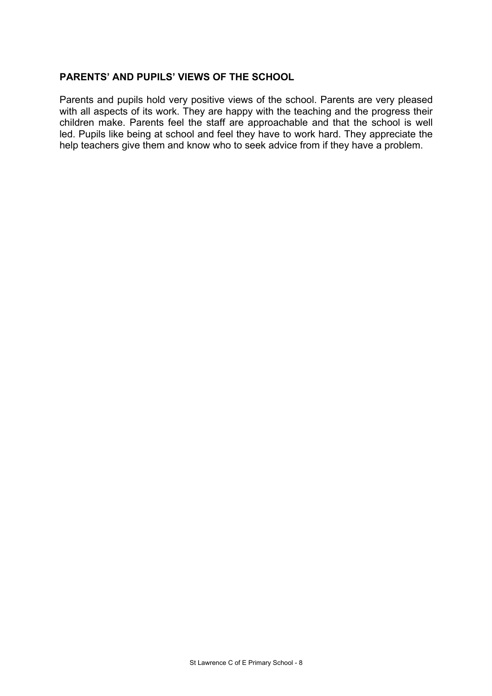## **PARENTS' AND PUPILS' VIEWS OF THE SCHOOL**

Parents and pupils hold very positive views of the school. Parents are very pleased with all aspects of its work. They are happy with the teaching and the progress their children make. Parents feel the staff are approachable and that the school is well led. Pupils like being at school and feel they have to work hard. They appreciate the help teachers give them and know who to seek advice from if they have a problem.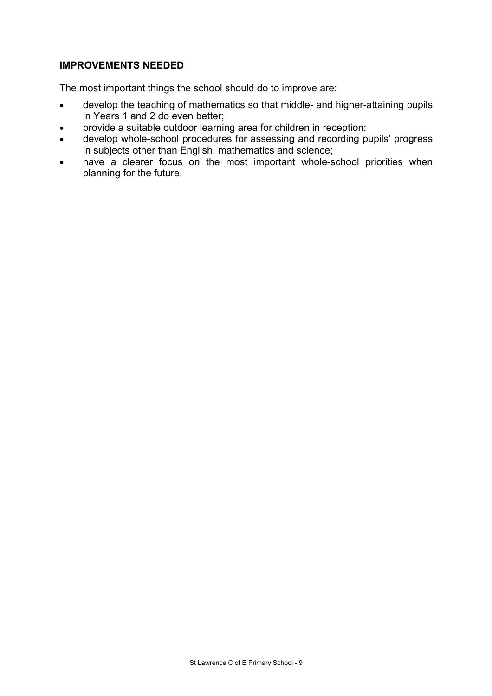## **IMPROVEMENTS NEEDED**

The most important things the school should do to improve are:

- develop the teaching of mathematics so that middle- and higher-attaining pupils in Years 1 and 2 do even better;
- provide a suitable outdoor learning area for children in reception;
- develop whole-school procedures for assessing and recording pupils' progress in subjects other than English, mathematics and science;
- have a clearer focus on the most important whole-school priorities when planning for the future.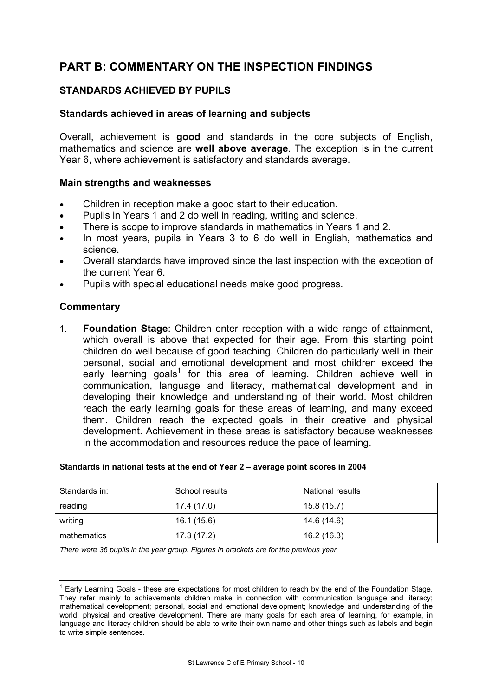# **PART B: COMMENTARY ON THE INSPECTION FINDINGS**

# **STANDARDS ACHIEVED BY PUPILS**

#### **Standards achieved in areas of learning and subjects**

Overall, achievement is **good** and standards in the core subjects of English, mathematics and science are **well above average**. The exception is in the current Year 6, where achievement is satisfactory and standards average.

#### **Main strengths and weaknesses**

- Children in reception make a good start to their education.
- Pupils in Years 1 and 2 do well in reading, writing and science.
- There is scope to improve standards in mathematics in Years 1 and 2.
- In most years, pupils in Years 3 to 6 do well in English, mathematics and science.
- Overall standards have improved since the last inspection with the exception of the current Year 6.
- Pupils with special educational needs make good progress.

## **Commentary**

1. **Foundation Stage**: Children enter reception with a wide range of attainment, which overall is above that expected for their age. From this starting point children do well because of good teaching. Children do particularly well in their personal, social and emotional development and most children exceed the early learning goals<sup>1</sup> for this area of learning. Children achieve well in communication, language and literacy, mathematical development and in developing their knowledge and understanding of their world. Most children reach the early learning goals for these areas of learning, and many exceed them. Children reach the expected goals in their creative and physical development. Achievement in these areas is satisfactory because weaknesses in the accommodation and resources reduce the pace of learning.

| Standards in: | School results | <b>National results</b> |
|---------------|----------------|-------------------------|
| reading       | 17.4 (17.0)    | 15.8 (15.7)             |
| writing       | 16.1 (15.6)    | 14.6 (14.6)             |
| mathematics   | 17.3(17.2)     | 16.2 (16.3)             |

#### **Standards in national tests at the end of Year 2 – average point scores in 2004**

*There were 36 pupils in the year group. Figures in brackets are for the previous year* 

 $\overline{a}$ <sup>1</sup> Early Learning Goals - these are expectations for most children to reach by the end of the Foundation Stage. They refer mainly to achievements children make in connection with communication language and literacy; mathematical development; personal, social and emotional development; knowledge and understanding of the world; physical and creative development. There are many goals for each area of learning, for example, in language and literacy children should be able to write their own name and other things such as labels and begin to write simple sentences.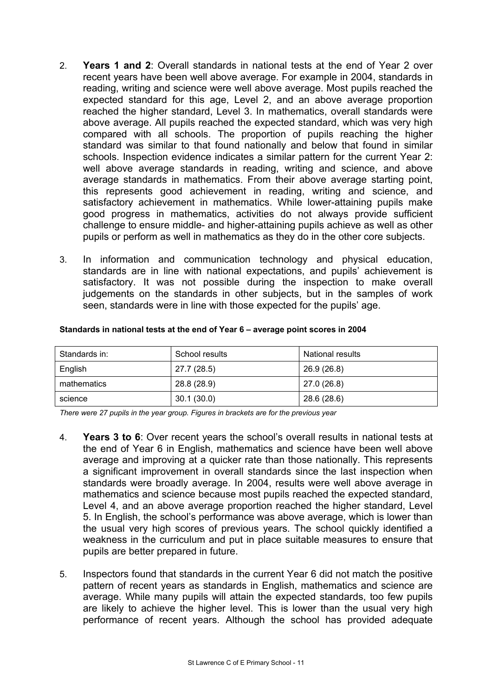- 2. **Years 1 and 2**: Overall standards in national tests at the end of Year 2 over recent years have been well above average. For example in 2004, standards in reading, writing and science were well above average. Most pupils reached the expected standard for this age, Level 2, and an above average proportion reached the higher standard, Level 3. In mathematics, overall standards were above average. All pupils reached the expected standard, which was very high compared with all schools. The proportion of pupils reaching the higher standard was similar to that found nationally and below that found in similar schools. Inspection evidence indicates a similar pattern for the current Year 2: well above average standards in reading, writing and science, and above average standards in mathematics. From their above average starting point, this represents good achievement in reading, writing and science, and satisfactory achievement in mathematics. While lower-attaining pupils make good progress in mathematics, activities do not always provide sufficient challenge to ensure middle- and higher-attaining pupils achieve as well as other pupils or perform as well in mathematics as they do in the other core subjects.
- 3. In information and communication technology and physical education, standards are in line with national expectations, and pupils' achievement is satisfactory. It was not possible during the inspection to make overall judgements on the standards in other subjects, but in the samples of work seen, standards were in line with those expected for the pupils' age.

| Standards in: | School results | <b>National results</b> |
|---------------|----------------|-------------------------|
| English       | 27.7 (28.5)    | 26.9 (26.8)             |
| mathematics   | 28.8 (28.9)    | 27.0 (26.8)             |
| science       | 30.1(30.0)     | 28.6 (28.6)             |

#### **Standards in national tests at the end of Year 6 – average point scores in 2004**

*There were 27 pupils in the year group. Figures in brackets are for the previous year* 

- 4. **Years 3 to 6**: Over recent years the school's overall results in national tests at the end of Year 6 in English, mathematics and science have been well above average and improving at a quicker rate than those nationally. This represents a significant improvement in overall standards since the last inspection when standards were broadly average. In 2004, results were well above average in mathematics and science because most pupils reached the expected standard, Level 4, and an above average proportion reached the higher standard, Level 5. In English, the school's performance was above average, which is lower than the usual very high scores of previous years. The school quickly identified a weakness in the curriculum and put in place suitable measures to ensure that pupils are better prepared in future.
- 5. Inspectors found that standards in the current Year 6 did not match the positive pattern of recent years as standards in English, mathematics and science are average. While many pupils will attain the expected standards, too few pupils are likely to achieve the higher level. This is lower than the usual very high performance of recent years. Although the school has provided adequate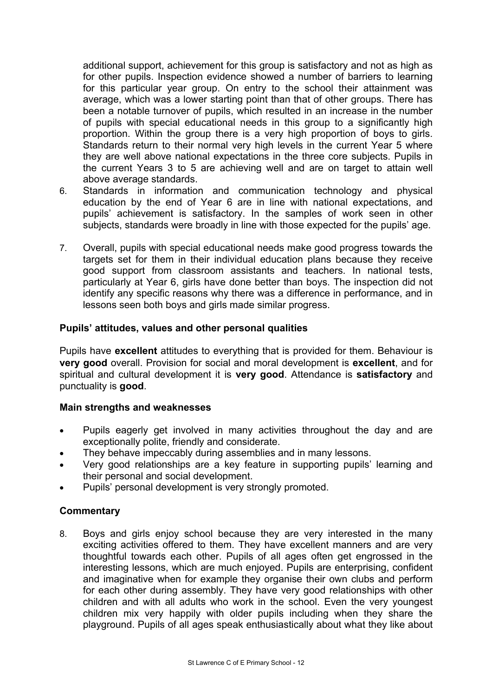additional support, achievement for this group is satisfactory and not as high as for other pupils. Inspection evidence showed a number of barriers to learning for this particular year group. On entry to the school their attainment was average, which was a lower starting point than that of other groups. There has been a notable turnover of pupils, which resulted in an increase in the number of pupils with special educational needs in this group to a significantly high proportion. Within the group there is a very high proportion of boys to girls. Standards return to their normal very high levels in the current Year 5 where they are well above national expectations in the three core subjects. Pupils in the current Years 3 to 5 are achieving well and are on target to attain well above average standards.

- 6. Standards in information and communication technology and physical education by the end of Year 6 are in line with national expectations, and pupils' achievement is satisfactory. In the samples of work seen in other subjects, standards were broadly in line with those expected for the pupils' age.
- 7. Overall, pupils with special educational needs make good progress towards the targets set for them in their individual education plans because they receive good support from classroom assistants and teachers. In national tests, particularly at Year 6, girls have done better than boys. The inspection did not identify any specific reasons why there was a difference in performance, and in lessons seen both boys and girls made similar progress.

## **Pupils' attitudes, values and other personal qualities**

Pupils have **excellent** attitudes to everything that is provided for them. Behaviour is **very good** overall. Provision for social and moral development is **excellent**, and for spiritual and cultural development it is **very good**. Attendance is **satisfactory** and punctuality is **good**.

## **Main strengths and weaknesses**

- Pupils eagerly get involved in many activities throughout the day and are exceptionally polite, friendly and considerate.
- They behave impeccably during assemblies and in many lessons.
- Very good relationships are a key feature in supporting pupils' learning and their personal and social development.
- Pupils' personal development is very strongly promoted.

## **Commentary**

8. Boys and girls enjoy school because they are very interested in the many exciting activities offered to them. They have excellent manners and are very thoughtful towards each other. Pupils of all ages often get engrossed in the interesting lessons, which are much enjoyed. Pupils are enterprising, confident and imaginative when for example they organise their own clubs and perform for each other during assembly. They have very good relationships with other children and with all adults who work in the school. Even the very youngest children mix very happily with older pupils including when they share the playground. Pupils of all ages speak enthusiastically about what they like about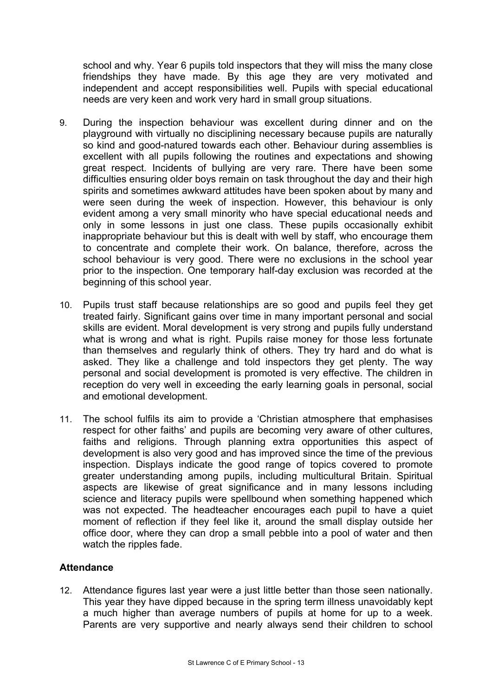school and why. Year 6 pupils told inspectors that they will miss the many close friendships they have made. By this age they are very motivated and independent and accept responsibilities well. Pupils with special educational needs are very keen and work very hard in small group situations.

- 9. During the inspection behaviour was excellent during dinner and on the playground with virtually no disciplining necessary because pupils are naturally so kind and good-natured towards each other. Behaviour during assemblies is excellent with all pupils following the routines and expectations and showing great respect. Incidents of bullying are very rare. There have been some difficulties ensuring older boys remain on task throughout the day and their high spirits and sometimes awkward attitudes have been spoken about by many and were seen during the week of inspection. However, this behaviour is only evident among a very small minority who have special educational needs and only in some lessons in just one class. These pupils occasionally exhibit inappropriate behaviour but this is dealt with well by staff, who encourage them to concentrate and complete their work. On balance, therefore, across the school behaviour is very good. There were no exclusions in the school year prior to the inspection. One temporary half-day exclusion was recorded at the beginning of this school year.
- 10. Pupils trust staff because relationships are so good and pupils feel they get treated fairly. Significant gains over time in many important personal and social skills are evident. Moral development is very strong and pupils fully understand what is wrong and what is right. Pupils raise money for those less fortunate than themselves and regularly think of others. They try hard and do what is asked. They like a challenge and told inspectors they get plenty. The way personal and social development is promoted is very effective. The children in reception do very well in exceeding the early learning goals in personal, social and emotional development.
- 11. The school fulfils its aim to provide a 'Christian atmosphere that emphasises respect for other faiths' and pupils are becoming very aware of other cultures, faiths and religions. Through planning extra opportunities this aspect of development is also very good and has improved since the time of the previous inspection. Displays indicate the good range of topics covered to promote greater understanding among pupils, including multicultural Britain. Spiritual aspects are likewise of great significance and in many lessons including science and literacy pupils were spellbound when something happened which was not expected. The headteacher encourages each pupil to have a quiet moment of reflection if they feel like it, around the small display outside her office door, where they can drop a small pebble into a pool of water and then watch the ripples fade.

## **Attendance**

12. Attendance figures last year were a just little better than those seen nationally. This year they have dipped because in the spring term illness unavoidably kept a much higher than average numbers of pupils at home for up to a week. Parents are very supportive and nearly always send their children to school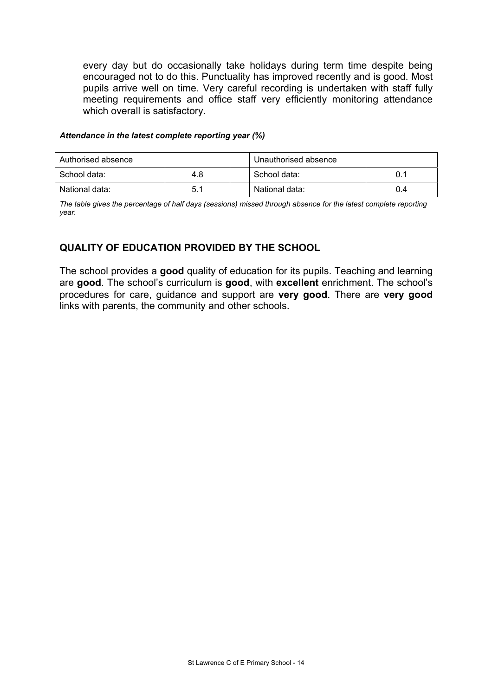every day but do occasionally take holidays during term time despite being encouraged not to do this. Punctuality has improved recently and is good. Most pupils arrive well on time. Very careful recording is undertaken with staff fully meeting requirements and office staff very efficiently monitoring attendance which overall is satisfactory.

#### *Attendance in the latest complete reporting year (%)*

| Authorised absence |     | Unauthorised absence |     |
|--------------------|-----|----------------------|-----|
| School data:       | 4.8 | School data:         | 0.1 |
| National data:     | 5.1 | National data:       | 0.4 |

*The table gives the percentage of half days (sessions) missed through absence for the latest complete reporting year.* 

# **QUALITY OF EDUCATION PROVIDED BY THE SCHOOL**

The school provides a **good** quality of education for its pupils. Teaching and learning are **good**. The school's curriculum is **good**, with **excellent** enrichment. The school's procedures for care, guidance and support are **very good**. There are **very good** links with parents, the community and other schools.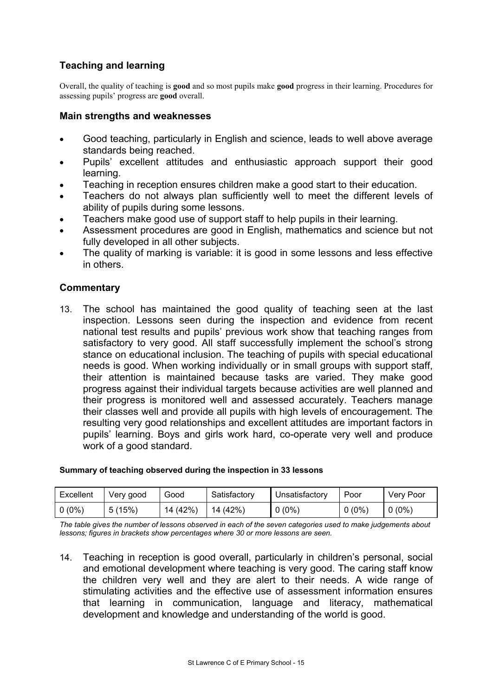# **Teaching and learning**

Overall, the quality of teaching is **good** and so most pupils make **good** progress in their learning. Procedures for assessing pupils' progress are **good** overall.

#### **Main strengths and weaknesses**

- Good teaching, particularly in English and science, leads to well above average standards being reached.
- Pupils' excellent attitudes and enthusiastic approach support their good learning.
- Teaching in reception ensures children make a good start to their education.
- Teachers do not always plan sufficiently well to meet the different levels of ability of pupils during some lessons.
- Teachers make good use of support staff to help pupils in their learning.
- Assessment procedures are good in English, mathematics and science but not fully developed in all other subjects.
- The quality of marking is variable: it is good in some lessons and less effective in others.

## **Commentary**

13. The school has maintained the good quality of teaching seen at the last inspection. Lessons seen during the inspection and evidence from recent national test results and pupils' previous work show that teaching ranges from satisfactory to very good. All staff successfully implement the school's strong stance on educational inclusion. The teaching of pupils with special educational needs is good. When working individually or in small groups with support staff, their attention is maintained because tasks are varied. They make good progress against their individual targets because activities are well planned and their progress is monitored well and assessed accurately. Teachers manage their classes well and provide all pupils with high levels of encouragement. The resulting very good relationships and excellent attitudes are important factors in pupils' learning. Boys and girls work hard, co-operate very well and produce work of a good standard.

#### **Summary of teaching observed during the inspection in 33 lessons**

| Excellent | Very good | Good     | Satisfactory | Unsatisfactory | Poor     | Very Poor |
|-----------|-----------|----------|--------------|----------------|----------|-----------|
| $0(0\%)$  | 5(15%)    | 14 (42%) | 14 (42%)     | $0(0\%)$       | $0(0\%)$ | $0(0\%)$  |

*The table gives the number of lessons observed in each of the seven categories used to make judgements about lessons; figures in brackets show percentages where 30 or more lessons are seen.* 

14. Teaching in reception is good overall, particularly in children's personal, social and emotional development where teaching is very good. The caring staff know the children very well and they are alert to their needs. A wide range of stimulating activities and the effective use of assessment information ensures that learning in communication, language and literacy, mathematical development and knowledge and understanding of the world is good.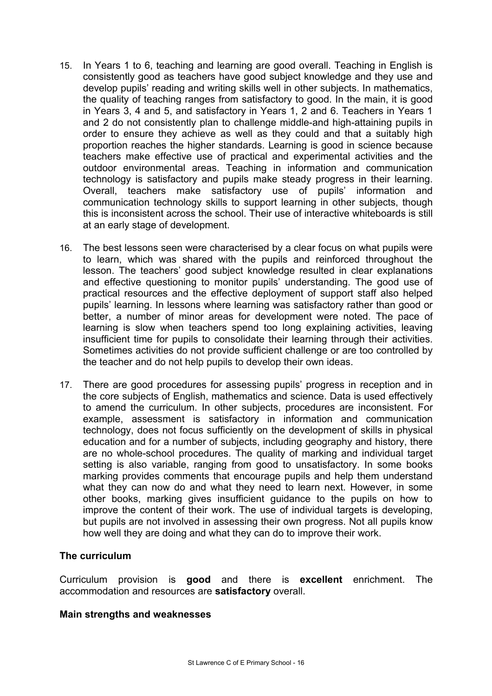- 15. In Years 1 to 6, teaching and learning are good overall. Teaching in English is consistently good as teachers have good subject knowledge and they use and develop pupils' reading and writing skills well in other subjects. In mathematics, the quality of teaching ranges from satisfactory to good. In the main, it is good in Years 3, 4 and 5, and satisfactory in Years 1, 2 and 6. Teachers in Years 1 and 2 do not consistently plan to challenge middle-and high-attaining pupils in order to ensure they achieve as well as they could and that a suitably high proportion reaches the higher standards. Learning is good in science because teachers make effective use of practical and experimental activities and the outdoor environmental areas. Teaching in information and communication technology is satisfactory and pupils make steady progress in their learning. Overall, teachers make satisfactory use of pupils' information and communication technology skills to support learning in other subjects, though this is inconsistent across the school. Their use of interactive whiteboards is still at an early stage of development.
- 16. The best lessons seen were characterised by a clear focus on what pupils were to learn, which was shared with the pupils and reinforced throughout the lesson. The teachers' good subject knowledge resulted in clear explanations and effective questioning to monitor pupils' understanding. The good use of practical resources and the effective deployment of support staff also helped pupils' learning. In lessons where learning was satisfactory rather than good or better, a number of minor areas for development were noted. The pace of learning is slow when teachers spend too long explaining activities, leaving insufficient time for pupils to consolidate their learning through their activities. Sometimes activities do not provide sufficient challenge or are too controlled by the teacher and do not help pupils to develop their own ideas.
- 17. There are good procedures for assessing pupils' progress in reception and in the core subjects of English, mathematics and science. Data is used effectively to amend the curriculum. In other subjects, procedures are inconsistent. For example, assessment is satisfactory in information and communication technology, does not focus sufficiently on the development of skills in physical education and for a number of subjects, including geography and history, there are no whole-school procedures. The quality of marking and individual target setting is also variable, ranging from good to unsatisfactory. In some books marking provides comments that encourage pupils and help them understand what they can now do and what they need to learn next. However, in some other books, marking gives insufficient guidance to the pupils on how to improve the content of their work. The use of individual targets is developing, but pupils are not involved in assessing their own progress. Not all pupils know how well they are doing and what they can do to improve their work.

## **The curriculum**

Curriculum provision is **good** and there is **excellent** enrichment. The accommodation and resources are **satisfactory** overall.

#### **Main strengths and weaknesses**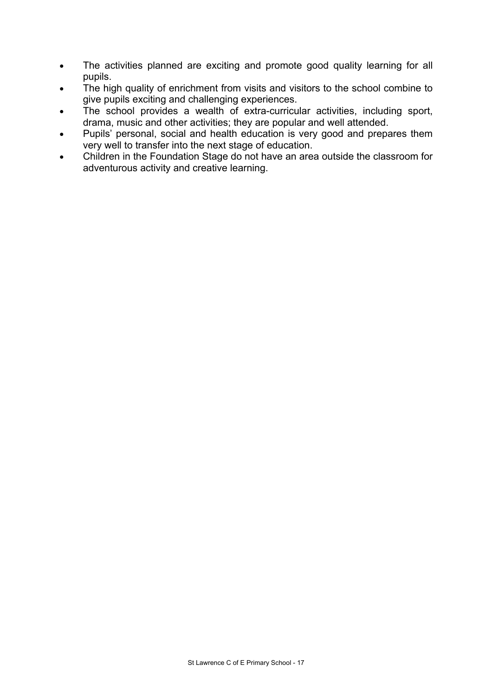- The activities planned are exciting and promote good quality learning for all pupils.
- The high quality of enrichment from visits and visitors to the school combine to give pupils exciting and challenging experiences.
- The school provides a wealth of extra-curricular activities, including sport, drama, music and other activities; they are popular and well attended.
- Pupils' personal, social and health education is very good and prepares them very well to transfer into the next stage of education.
- Children in the Foundation Stage do not have an area outside the classroom for adventurous activity and creative learning.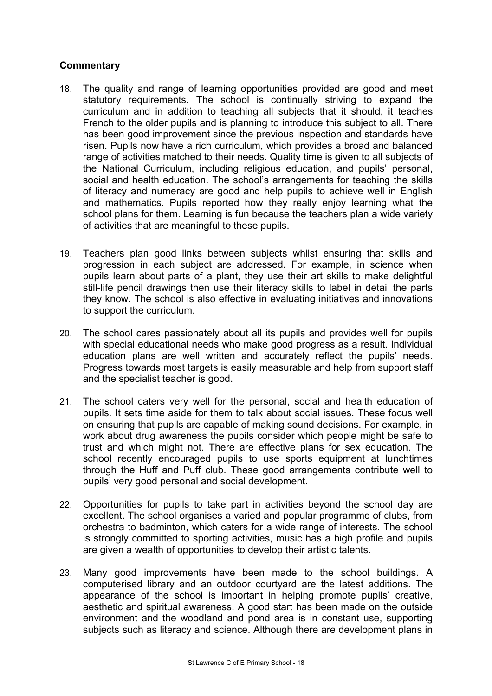- 18. The quality and range of learning opportunities provided are good and meet statutory requirements. The school is continually striving to expand the curriculum and in addition to teaching all subjects that it should, it teaches French to the older pupils and is planning to introduce this subject to all. There has been good improvement since the previous inspection and standards have risen. Pupils now have a rich curriculum, which provides a broad and balanced range of activities matched to their needs. Quality time is given to all subjects of the National Curriculum, including religious education, and pupils' personal, social and health education. The school's arrangements for teaching the skills of literacy and numeracy are good and help pupils to achieve well in English and mathematics. Pupils reported how they really enjoy learning what the school plans for them. Learning is fun because the teachers plan a wide variety of activities that are meaningful to these pupils.
- 19. Teachers plan good links between subjects whilst ensuring that skills and progression in each subject are addressed. For example, in science when pupils learn about parts of a plant, they use their art skills to make delightful still-life pencil drawings then use their literacy skills to label in detail the parts they know. The school is also effective in evaluating initiatives and innovations to support the curriculum.
- 20. The school cares passionately about all its pupils and provides well for pupils with special educational needs who make good progress as a result. Individual education plans are well written and accurately reflect the pupils' needs. Progress towards most targets is easily measurable and help from support staff and the specialist teacher is good.
- 21. The school caters very well for the personal, social and health education of pupils. It sets time aside for them to talk about social issues. These focus well on ensuring that pupils are capable of making sound decisions. For example, in work about drug awareness the pupils consider which people might be safe to trust and which might not. There are effective plans for sex education. The school recently encouraged pupils to use sports equipment at lunchtimes through the Huff and Puff club. These good arrangements contribute well to pupils' very good personal and social development.
- 22. Opportunities for pupils to take part in activities beyond the school day are excellent. The school organises a varied and popular programme of clubs, from orchestra to badminton, which caters for a wide range of interests. The school is strongly committed to sporting activities, music has a high profile and pupils are given a wealth of opportunities to develop their artistic talents.
- 23. Many good improvements have been made to the school buildings. A computerised library and an outdoor courtyard are the latest additions. The appearance of the school is important in helping promote pupils' creative, aesthetic and spiritual awareness. A good start has been made on the outside environment and the woodland and pond area is in constant use, supporting subjects such as literacy and science. Although there are development plans in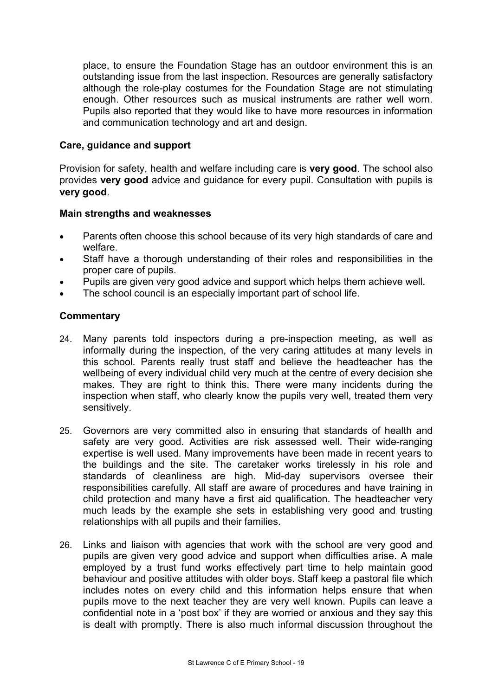place, to ensure the Foundation Stage has an outdoor environment this is an outstanding issue from the last inspection. Resources are generally satisfactory although the role-play costumes for the Foundation Stage are not stimulating enough. Other resources such as musical instruments are rather well worn. Pupils also reported that they would like to have more resources in information and communication technology and art and design.

#### **Care, guidance and support**

Provision for safety, health and welfare including care is **very good**. The school also provides **very good** advice and guidance for every pupil. Consultation with pupils is **very good**.

#### **Main strengths and weaknesses**

- Parents often choose this school because of its very high standards of care and welfare.
- Staff have a thorough understanding of their roles and responsibilities in the proper care of pupils.
- Pupils are given very good advice and support which helps them achieve well.
- The school council is an especially important part of school life.

- 24. Many parents told inspectors during a pre-inspection meeting, as well as informally during the inspection, of the very caring attitudes at many levels in this school. Parents really trust staff and believe the headteacher has the wellbeing of every individual child very much at the centre of every decision she makes. They are right to think this. There were many incidents during the inspection when staff, who clearly know the pupils very well, treated them very sensitively.
- 25. Governors are very committed also in ensuring that standards of health and safety are very good. Activities are risk assessed well. Their wide-ranging expertise is well used. Many improvements have been made in recent years to the buildings and the site. The caretaker works tirelessly in his role and standards of cleanliness are high. Mid-day supervisors oversee their responsibilities carefully. All staff are aware of procedures and have training in child protection and many have a first aid qualification. The headteacher very much leads by the example she sets in establishing very good and trusting relationships with all pupils and their families.
- 26. Links and liaison with agencies that work with the school are very good and pupils are given very good advice and support when difficulties arise. A male employed by a trust fund works effectively part time to help maintain good behaviour and positive attitudes with older boys. Staff keep a pastoral file which includes notes on every child and this information helps ensure that when pupils move to the next teacher they are very well known. Pupils can leave a confidential note in a 'post box' if they are worried or anxious and they say this is dealt with promptly. There is also much informal discussion throughout the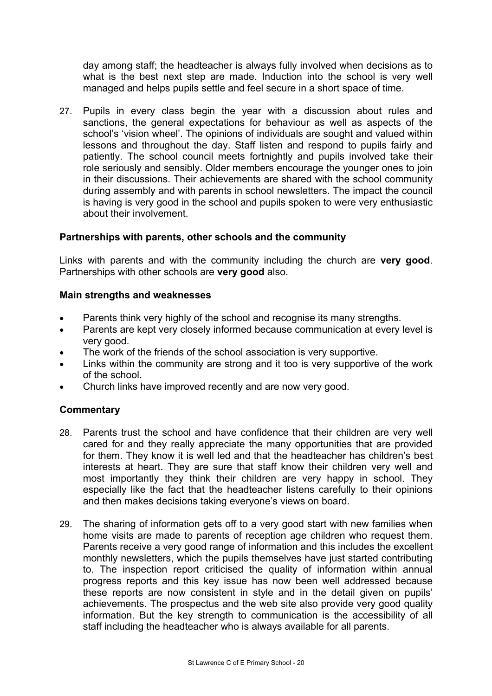day among staff; the headteacher is always fully involved when decisions as to what is the best next step are made. Induction into the school is very well managed and helps pupils settle and feel secure in a short space of time.

27. Pupils in every class begin the year with a discussion about rules and sanctions, the general expectations for behaviour as well as aspects of the school's 'vision wheel'. The opinions of individuals are sought and valued within lessons and throughout the day. Staff listen and respond to pupils fairly and patiently. The school council meets fortnightly and pupils involved take their role seriously and sensibly. Older members encourage the younger ones to join in their discussions. Their achievements are shared with the school community during assembly and with parents in school newsletters. The impact the council is having is very good in the school and pupils spoken to were very enthusiastic about their involvement.

## **Partnerships with parents, other schools and the community**

Links with parents and with the community including the church are **very good**. Partnerships with other schools are **very good** also.

#### **Main strengths and weaknesses**

- Parents think very highly of the school and recognise its many strengths.
- Parents are kept very closely informed because communication at every level is very good.
- The work of the friends of the school association is very supportive.
- Links within the community are strong and it too is very supportive of the work of the school.
- Church links have improved recently and are now very good.

- 28. Parents trust the school and have confidence that their children are very well cared for and they really appreciate the many opportunities that are provided for them. They know it is well led and that the headteacher has children's best interests at heart. They are sure that staff know their children very well and most importantly they think their children are very happy in school. They especially like the fact that the headteacher listens carefully to their opinions and then makes decisions taking everyone's views on board.
- 29. The sharing of information gets off to a very good start with new families when home visits are made to parents of reception age children who request them. Parents receive a very good range of information and this includes the excellent monthly newsletters, which the pupils themselves have just started contributing to. The inspection report criticised the quality of information within annual progress reports and this key issue has now been well addressed because these reports are now consistent in style and in the detail given on pupils' achievements. The prospectus and the web site also provide very good quality information. But the key strength to communication is the accessibility of all staff including the headteacher who is always available for all parents.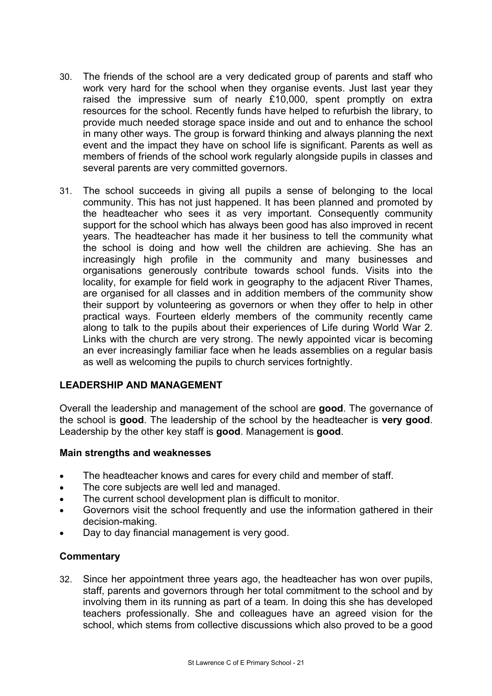- 30. The friends of the school are a very dedicated group of parents and staff who work very hard for the school when they organise events. Just last year they raised the impressive sum of nearly £10,000, spent promptly on extra resources for the school. Recently funds have helped to refurbish the library, to provide much needed storage space inside and out and to enhance the school in many other ways. The group is forward thinking and always planning the next event and the impact they have on school life is significant. Parents as well as members of friends of the school work regularly alongside pupils in classes and several parents are very committed governors.
- 31. The school succeeds in giving all pupils a sense of belonging to the local community. This has not just happened. It has been planned and promoted by the headteacher who sees it as very important. Consequently community support for the school which has always been good has also improved in recent years. The headteacher has made it her business to tell the community what the school is doing and how well the children are achieving. She has an increasingly high profile in the community and many businesses and organisations generously contribute towards school funds. Visits into the locality, for example for field work in geography to the adjacent River Thames, are organised for all classes and in addition members of the community show their support by volunteering as governors or when they offer to help in other practical ways. Fourteen elderly members of the community recently came along to talk to the pupils about their experiences of Life during World War 2. Links with the church are very strong. The newly appointed vicar is becoming an ever increasingly familiar face when he leads assemblies on a regular basis as well as welcoming the pupils to church services fortnightly.

# **LEADERSHIP AND MANAGEMENT**

Overall the leadership and management of the school are **good**. The governance of the school is **good**. The leadership of the school by the headteacher is **very good**. Leadership by the other key staff is **good**. Management is **good**.

## **Main strengths and weaknesses**

- The headteacher knows and cares for every child and member of staff.
- The core subjects are well led and managed.
- The current school development plan is difficult to monitor.
- Governors visit the school frequently and use the information gathered in their decision-making.
- Day to day financial management is very good.

## **Commentary**

32. Since her appointment three years ago, the headteacher has won over pupils, staff, parents and governors through her total commitment to the school and by involving them in its running as part of a team. In doing this she has developed teachers professionally. She and colleagues have an agreed vision for the school, which stems from collective discussions which also proved to be a good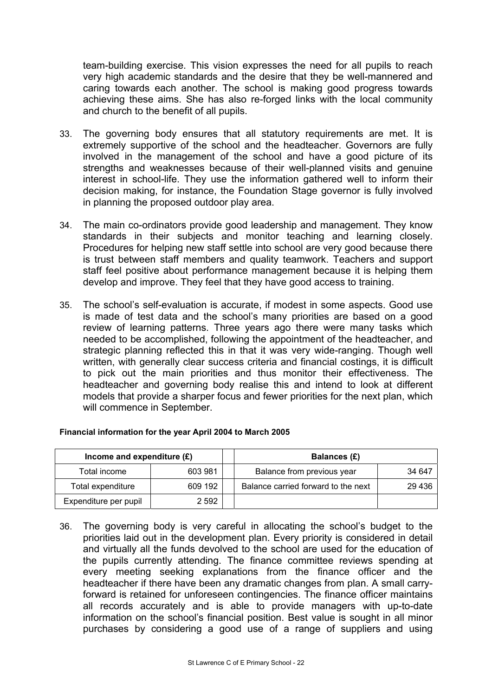team-building exercise. This vision expresses the need for all pupils to reach very high academic standards and the desire that they be well-mannered and caring towards each another. The school is making good progress towards achieving these aims. She has also re-forged links with the local community and church to the benefit of all pupils.

- 33. The governing body ensures that all statutory requirements are met. It is extremely supportive of the school and the headteacher. Governors are fully involved in the management of the school and have a good picture of its strengths and weaknesses because of their well-planned visits and genuine interest in school-life. They use the information gathered well to inform their decision making, for instance, the Foundation Stage governor is fully involved in planning the proposed outdoor play area.
- 34. The main co-ordinators provide good leadership and management. They know standards in their subjects and monitor teaching and learning closely. Procedures for helping new staff settle into school are very good because there is trust between staff members and quality teamwork. Teachers and support staff feel positive about performance management because it is helping them develop and improve. They feel that they have good access to training.
- 35. The school's self-evaluation is accurate, if modest in some aspects. Good use is made of test data and the school's many priorities are based on a good review of learning patterns. Three years ago there were many tasks which needed to be accomplished, following the appointment of the headteacher, and strategic planning reflected this in that it was very wide-ranging. Though well written, with generally clear success criteria and financial costings, it is difficult to pick out the main priorities and thus monitor their effectiveness. The headteacher and governing body realise this and intend to look at different models that provide a sharper focus and fewer priorities for the next plan, which will commence in September.

| Income and expenditure $(E)$ |         | Balances (£)                        |        |
|------------------------------|---------|-------------------------------------|--------|
| Total income                 | 603 981 | Balance from previous year          | 34 647 |
| Total expenditure            | 609 192 | Balance carried forward to the next | 29 436 |
| Expenditure per pupil        | 2 592   |                                     |        |

#### **Financial information for the year April 2004 to March 2005**

36. The governing body is very careful in allocating the school's budget to the priorities laid out in the development plan. Every priority is considered in detail and virtually all the funds devolved to the school are used for the education of the pupils currently attending. The finance committee reviews spending at every meeting seeking explanations from the finance officer and the headteacher if there have been any dramatic changes from plan. A small carryforward is retained for unforeseen contingencies. The finance officer maintains all records accurately and is able to provide managers with up-to-date information on the school's financial position. Best value is sought in all minor purchases by considering a good use of a range of suppliers and using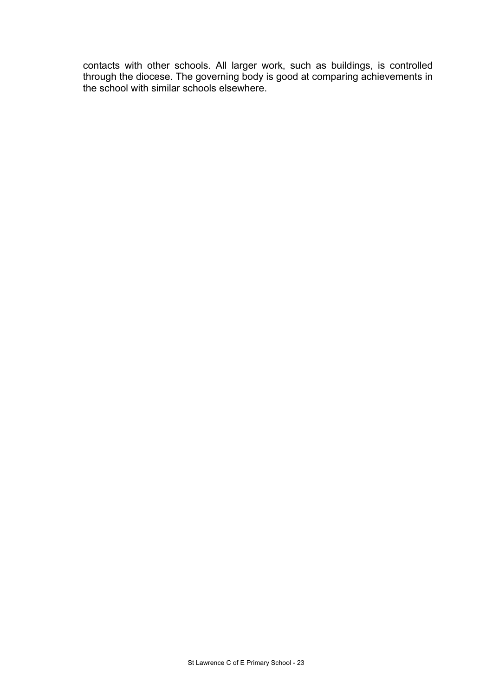contacts with other schools. All larger work, such as buildings, is controlled through the diocese. The governing body is good at comparing achievements in the school with similar schools elsewhere.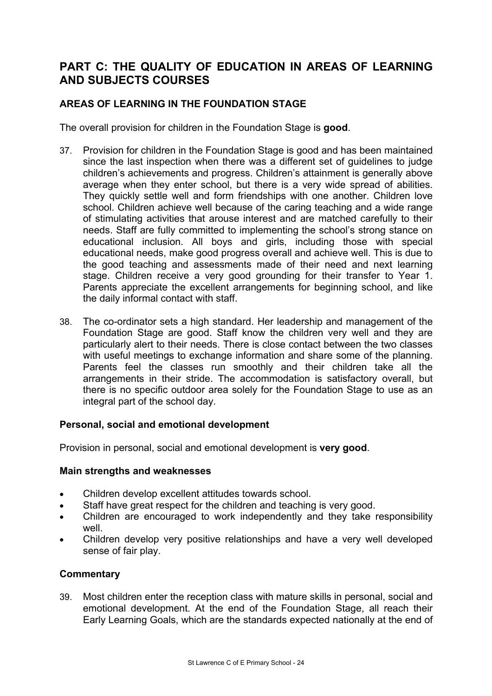# **PART C: THE QUALITY OF EDUCATION IN AREAS OF LEARNING AND SUBJECTS COURSES**

# **AREAS OF LEARNING IN THE FOUNDATION STAGE**

The overall provision for children in the Foundation Stage is **good**.

- 37. Provision for children in the Foundation Stage is good and has been maintained since the last inspection when there was a different set of guidelines to judge children's achievements and progress. Children's attainment is generally above average when they enter school, but there is a very wide spread of abilities. They quickly settle well and form friendships with one another. Children love school. Children achieve well because of the caring teaching and a wide range of stimulating activities that arouse interest and are matched carefully to their needs. Staff are fully committed to implementing the school's strong stance on educational inclusion. All boys and girls, including those with special educational needs, make good progress overall and achieve well. This is due to the good teaching and assessments made of their need and next learning stage. Children receive a very good grounding for their transfer to Year 1. Parents appreciate the excellent arrangements for beginning school, and like the daily informal contact with staff.
- 38. The co-ordinator sets a high standard. Her leadership and management of the Foundation Stage are good. Staff know the children very well and they are particularly alert to their needs. There is close contact between the two classes with useful meetings to exchange information and share some of the planning. Parents feel the classes run smoothly and their children take all the arrangements in their stride. The accommodation is satisfactory overall, but there is no specific outdoor area solely for the Foundation Stage to use as an integral part of the school day.

#### **Personal, social and emotional development**

Provision in personal, social and emotional development is **very good**.

#### **Main strengths and weaknesses**

- Children develop excellent attitudes towards school.
- Staff have great respect for the children and teaching is very good.
- Children are encouraged to work independently and they take responsibility well.
- Children develop very positive relationships and have a very well developed sense of fair play.

## **Commentary**

39. Most children enter the reception class with mature skills in personal, social and emotional development. At the end of the Foundation Stage, all reach their Early Learning Goals, which are the standards expected nationally at the end of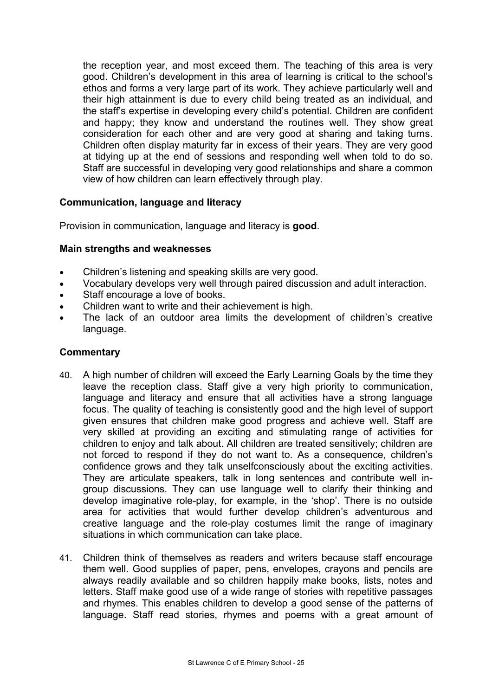the reception year, and most exceed them. The teaching of this area is very good. Children's development in this area of learning is critical to the school's ethos and forms a very large part of its work. They achieve particularly well and their high attainment is due to every child being treated as an individual, and the staff's expertise in developing every child's potential. Children are confident and happy; they know and understand the routines well. They show great consideration for each other and are very good at sharing and taking turns. Children often display maturity far in excess of their years. They are very good at tidying up at the end of sessions and responding well when told to do so. Staff are successful in developing very good relationships and share a common view of how children can learn effectively through play.

# **Communication, language and literacy**

Provision in communication, language and literacy is **good**.

## **Main strengths and weaknesses**

- Children's listening and speaking skills are very good.
- Vocabulary develops very well through paired discussion and adult interaction.
- Staff encourage a love of books.
- Children want to write and their achievement is high.
- The lack of an outdoor area limits the development of children's creative language.

- 40. A high number of children will exceed the Early Learning Goals by the time they leave the reception class. Staff give a very high priority to communication, language and literacy and ensure that all activities have a strong language focus. The quality of teaching is consistently good and the high level of support given ensures that children make good progress and achieve well. Staff are very skilled at providing an exciting and stimulating range of activities for children to enjoy and talk about. All children are treated sensitively; children are not forced to respond if they do not want to. As a consequence, children's confidence grows and they talk unselfconsciously about the exciting activities. They are articulate speakers, talk in long sentences and contribute well ingroup discussions. They can use language well to clarify their thinking and develop imaginative role-play, for example, in the 'shop'. There is no outside area for activities that would further develop children's adventurous and creative language and the role-play costumes limit the range of imaginary situations in which communication can take place.
- 41. Children think of themselves as readers and writers because staff encourage them well. Good supplies of paper, pens, envelopes, crayons and pencils are always readily available and so children happily make books, lists, notes and letters. Staff make good use of a wide range of stories with repetitive passages and rhymes. This enables children to develop a good sense of the patterns of language. Staff read stories, rhymes and poems with a great amount of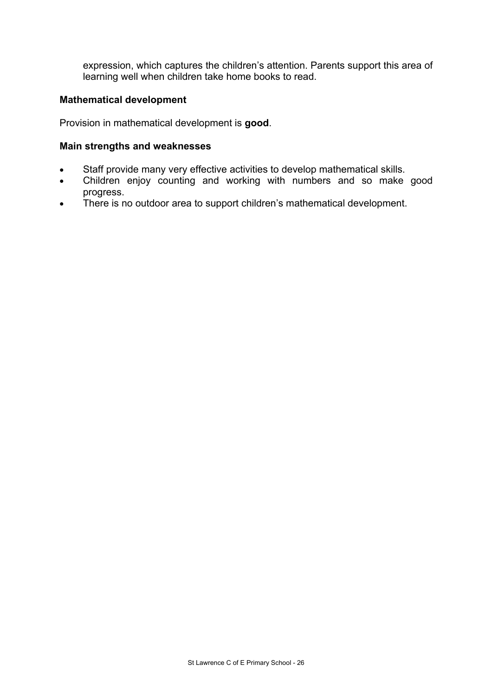expression, which captures the children's attention. Parents support this area of learning well when children take home books to read.

#### **Mathematical development**

Provision in mathematical development is **good**.

#### **Main strengths and weaknesses**

- Staff provide many very effective activities to develop mathematical skills.
- Children enjoy counting and working with numbers and so make good progress.
- There is no outdoor area to support children's mathematical development.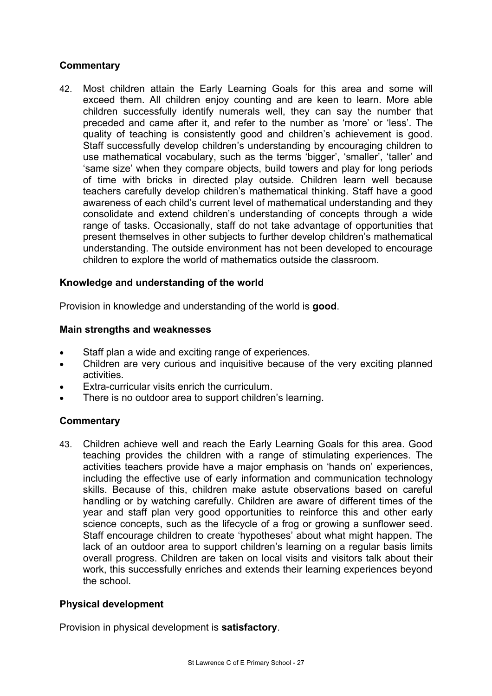# **Commentary**

42. Most children attain the Early Learning Goals for this area and some will exceed them. All children enjoy counting and are keen to learn. More able children successfully identify numerals well, they can say the number that preceded and came after it, and refer to the number as 'more' or 'less'. The quality of teaching is consistently good and children's achievement is good. Staff successfully develop children's understanding by encouraging children to use mathematical vocabulary, such as the terms 'bigger', 'smaller', 'taller' and 'same size' when they compare objects, build towers and play for long periods of time with bricks in directed play outside. Children learn well because teachers carefully develop children's mathematical thinking. Staff have a good awareness of each child's current level of mathematical understanding and they consolidate and extend children's understanding of concepts through a wide range of tasks. Occasionally, staff do not take advantage of opportunities that present themselves in other subjects to further develop children's mathematical understanding. The outside environment has not been developed to encourage children to explore the world of mathematics outside the classroom.

# **Knowledge and understanding of the world**

Provision in knowledge and understanding of the world is **good**.

## **Main strengths and weaknesses**

- Staff plan a wide and exciting range of experiences.
- Children are very curious and inquisitive because of the very exciting planned activities.
- Extra-curricular visits enrich the curriculum.
- There is no outdoor area to support children's learning.

## **Commentary**

43. Children achieve well and reach the Early Learning Goals for this area. Good teaching provides the children with a range of stimulating experiences. The activities teachers provide have a major emphasis on 'hands on' experiences, including the effective use of early information and communication technology skills. Because of this, children make astute observations based on careful handling or by watching carefully. Children are aware of different times of the year and staff plan very good opportunities to reinforce this and other early science concepts, such as the lifecycle of a frog or growing a sunflower seed. Staff encourage children to create 'hypotheses' about what might happen. The lack of an outdoor area to support children's learning on a regular basis limits overall progress. Children are taken on local visits and visitors talk about their work, this successfully enriches and extends their learning experiences beyond the school.

## **Physical development**

Provision in physical development is **satisfactory**.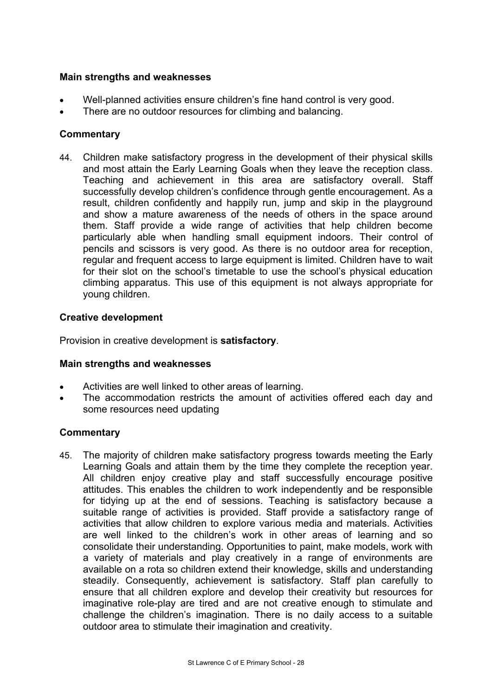#### **Main strengths and weaknesses**

- Well-planned activities ensure children's fine hand control is very good.
- There are no outdoor resources for climbing and balancing.

# **Commentary**

44. Children make satisfactory progress in the development of their physical skills and most attain the Early Learning Goals when they leave the reception class. Teaching and achievement in this area are satisfactory overall. Staff successfully develop children's confidence through gentle encouragement. As a result, children confidently and happily run, jump and skip in the playground and show a mature awareness of the needs of others in the space around them. Staff provide a wide range of activities that help children become particularly able when handling small equipment indoors. Their control of pencils and scissors is very good. As there is no outdoor area for reception, regular and frequent access to large equipment is limited. Children have to wait for their slot on the school's timetable to use the school's physical education climbing apparatus. This use of this equipment is not always appropriate for young children.

## **Creative development**

Provision in creative development is **satisfactory**.

#### **Main strengths and weaknesses**

- Activities are well linked to other areas of learning.
- The accommodation restricts the amount of activities offered each day and some resources need updating

## **Commentary**

45. The majority of children make satisfactory progress towards meeting the Early Learning Goals and attain them by the time they complete the reception year. All children enjoy creative play and staff successfully encourage positive attitudes. This enables the children to work independently and be responsible for tidying up at the end of sessions. Teaching is satisfactory because a suitable range of activities is provided. Staff provide a satisfactory range of activities that allow children to explore various media and materials. Activities are well linked to the children's work in other areas of learning and so consolidate their understanding. Opportunities to paint, make models, work with a variety of materials and play creatively in a range of environments are available on a rota so children extend their knowledge, skills and understanding steadily. Consequently, achievement is satisfactory. Staff plan carefully to ensure that all children explore and develop their creativity but resources for imaginative role-play are tired and are not creative enough to stimulate and challenge the children's imagination. There is no daily access to a suitable outdoor area to stimulate their imagination and creativity.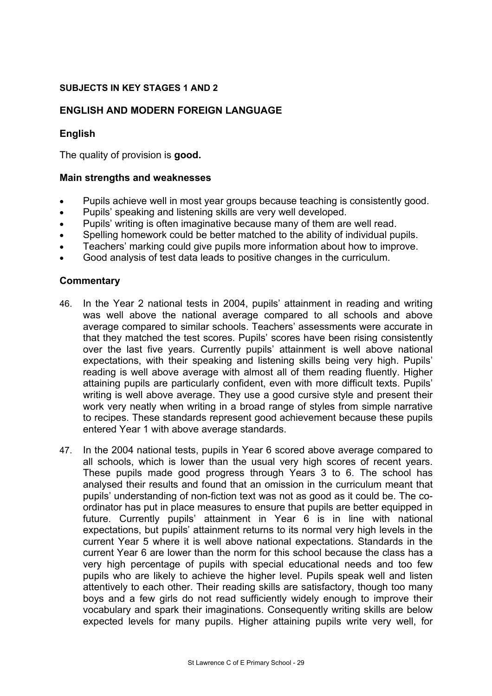#### **SUBJECTS IN KEY STAGES 1 AND 2**

#### **ENGLISH AND MODERN FOREIGN LANGUAGE**

#### **English**

The quality of provision is **good.** 

#### **Main strengths and weaknesses**

- Pupils achieve well in most year groups because teaching is consistently good.
- Pupils' speaking and listening skills are very well developed.
- Pupils' writing is often imaginative because many of them are well read.
- Spelling homework could be better matched to the ability of individual pupils.
- Teachers' marking could give pupils more information about how to improve.
- Good analysis of test data leads to positive changes in the curriculum.

- 46. In the Year 2 national tests in 2004, pupils' attainment in reading and writing was well above the national average compared to all schools and above average compared to similar schools. Teachers' assessments were accurate in that they matched the test scores. Pupils' scores have been rising consistently over the last five years. Currently pupils' attainment is well above national expectations, with their speaking and listening skills being very high. Pupils' reading is well above average with almost all of them reading fluently. Higher attaining pupils are particularly confident, even with more difficult texts. Pupils' writing is well above average. They use a good cursive style and present their work very neatly when writing in a broad range of styles from simple narrative to recipes. These standards represent good achievement because these pupils entered Year 1 with above average standards.
- 47. In the 2004 national tests, pupils in Year 6 scored above average compared to all schools, which is lower than the usual very high scores of recent years. These pupils made good progress through Years 3 to 6. The school has analysed their results and found that an omission in the curriculum meant that pupils' understanding of non-fiction text was not as good as it could be. The coordinator has put in place measures to ensure that pupils are better equipped in future. Currently pupils' attainment in Year 6 is in line with national expectations, but pupils' attainment returns to its normal very high levels in the current Year 5 where it is well above national expectations. Standards in the current Year 6 are lower than the norm for this school because the class has a very high percentage of pupils with special educational needs and too few pupils who are likely to achieve the higher level. Pupils speak well and listen attentively to each other. Their reading skills are satisfactory, though too many boys and a few girls do not read sufficiently widely enough to improve their vocabulary and spark their imaginations. Consequently writing skills are below expected levels for many pupils. Higher attaining pupils write very well, for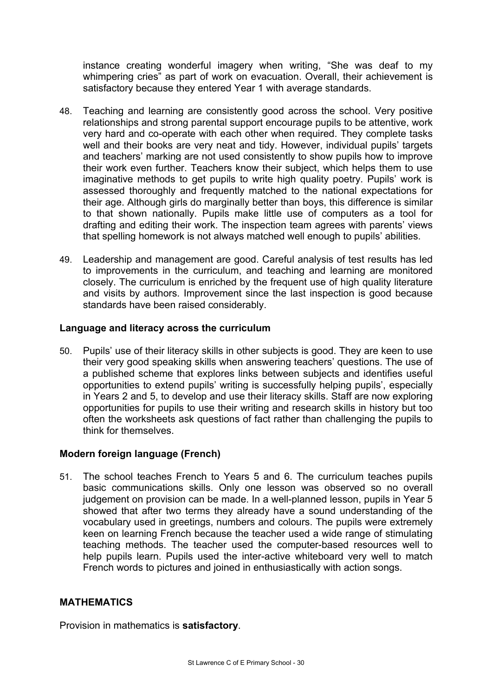instance creating wonderful imagery when writing, "She was deaf to my whimpering cries" as part of work on evacuation. Overall, their achievement is satisfactory because they entered Year 1 with average standards.

- 48. Teaching and learning are consistently good across the school. Very positive relationships and strong parental support encourage pupils to be attentive, work very hard and co-operate with each other when required. They complete tasks well and their books are very neat and tidy. However, individual pupils' targets and teachers' marking are not used consistently to show pupils how to improve their work even further. Teachers know their subject, which helps them to use imaginative methods to get pupils to write high quality poetry. Pupils' work is assessed thoroughly and frequently matched to the national expectations for their age. Although girls do marginally better than boys, this difference is similar to that shown nationally. Pupils make little use of computers as a tool for drafting and editing their work. The inspection team agrees with parents' views that spelling homework is not always matched well enough to pupils' abilities.
- 49. Leadership and management are good. Careful analysis of test results has led to improvements in the curriculum, and teaching and learning are monitored closely. The curriculum is enriched by the frequent use of high quality literature and visits by authors. Improvement since the last inspection is good because standards have been raised considerably.

## **Language and literacy across the curriculum**

50. Pupils' use of their literacy skills in other subjects is good. They are keen to use their very good speaking skills when answering teachers' questions. The use of a published scheme that explores links between subjects and identifies useful opportunities to extend pupils' writing is successfully helping pupils', especially in Years 2 and 5, to develop and use their literacy skills. Staff are now exploring opportunities for pupils to use their writing and research skills in history but too often the worksheets ask questions of fact rather than challenging the pupils to think for themselves.

# **Modern foreign language (French)**

51. The school teaches French to Years 5 and 6. The curriculum teaches pupils basic communications skills. Only one lesson was observed so no overall judgement on provision can be made. In a well-planned lesson, pupils in Year 5 showed that after two terms they already have a sound understanding of the vocabulary used in greetings, numbers and colours. The pupils were extremely keen on learning French because the teacher used a wide range of stimulating teaching methods. The teacher used the computer-based resources well to help pupils learn. Pupils used the inter-active whiteboard very well to match French words to pictures and joined in enthusiastically with action songs.

## **MATHEMATICS**

Provision in mathematics is **satisfactory**.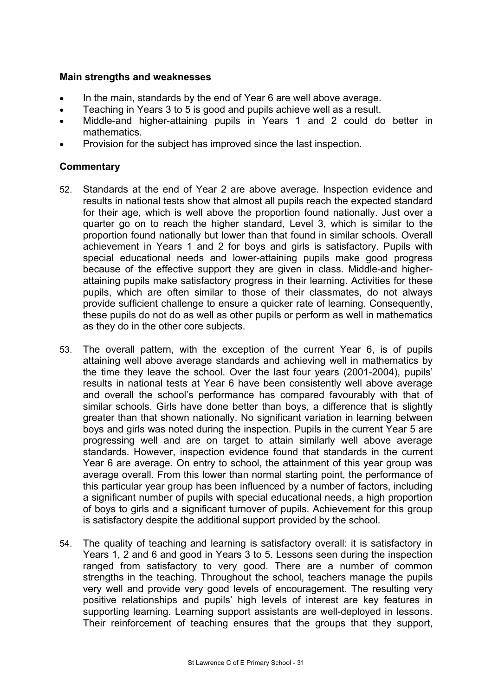#### **Main strengths and weaknesses**

- In the main, standards by the end of Year 6 are well above average.
- Teaching in Years 3 to 5 is good and pupils achieve well as a result.
- Middle-and higher-attaining pupils in Years 1 and 2 could do better in mathematics.
- Provision for the subject has improved since the last inspection.

- 52. Standards at the end of Year 2 are above average. Inspection evidence and results in national tests show that almost all pupils reach the expected standard for their age, which is well above the proportion found nationally. Just over a quarter go on to reach the higher standard, Level 3, which is similar to the proportion found nationally but lower than that found in similar schools. Overall achievement in Years 1 and 2 for boys and girls is satisfactory. Pupils with special educational needs and lower-attaining pupils make good progress because of the effective support they are given in class. Middle-and higherattaining pupils make satisfactory progress in their learning. Activities for these pupils, which are often similar to those of their classmates, do not always provide sufficient challenge to ensure a quicker rate of learning. Consequently, these pupils do not do as well as other pupils or perform as well in mathematics as they do in the other core subjects.
- 53. The overall pattern, with the exception of the current Year 6, is of pupils attaining well above average standards and achieving well in mathematics by the time they leave the school. Over the last four years (2001-2004), pupils' results in national tests at Year 6 have been consistently well above average and overall the school's performance has compared favourably with that of similar schools. Girls have done better than boys, a difference that is slightly greater than that shown nationally. No significant variation in learning between boys and girls was noted during the inspection. Pupils in the current Year 5 are progressing well and are on target to attain similarly well above average standards. However, inspection evidence found that standards in the current Year 6 are average. On entry to school, the attainment of this year group was average overall. From this lower than normal starting point, the performance of this particular year group has been influenced by a number of factors, including a significant number of pupils with special educational needs, a high proportion of boys to girls and a significant turnover of pupils. Achievement for this group is satisfactory despite the additional support provided by the school.
- 54. The quality of teaching and learning is satisfactory overall: it is satisfactory in Years 1, 2 and 6 and good in Years 3 to 5. Lessons seen during the inspection ranged from satisfactory to very good. There are a number of common strengths in the teaching. Throughout the school, teachers manage the pupils very well and provide very good levels of encouragement. The resulting very positive relationships and pupils' high levels of interest are key features in supporting learning. Learning support assistants are well-deployed in lessons. Their reinforcement of teaching ensures that the groups that they support,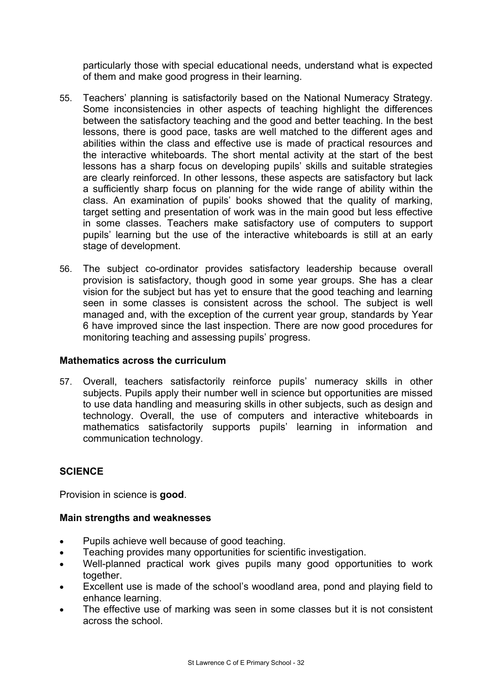particularly those with special educational needs, understand what is expected of them and make good progress in their learning.

- 55. Teachers' planning is satisfactorily based on the National Numeracy Strategy. Some inconsistencies in other aspects of teaching highlight the differences between the satisfactory teaching and the good and better teaching. In the best lessons, there is good pace, tasks are well matched to the different ages and abilities within the class and effective use is made of practical resources and the interactive whiteboards. The short mental activity at the start of the best lessons has a sharp focus on developing pupils' skills and suitable strategies are clearly reinforced. In other lessons, these aspects are satisfactory but lack a sufficiently sharp focus on planning for the wide range of ability within the class. An examination of pupils' books showed that the quality of marking, target setting and presentation of work was in the main good but less effective in some classes. Teachers make satisfactory use of computers to support pupils' learning but the use of the interactive whiteboards is still at an early stage of development.
- 56. The subject co-ordinator provides satisfactory leadership because overall provision is satisfactory, though good in some year groups. She has a clear vision for the subject but has yet to ensure that the good teaching and learning seen in some classes is consistent across the school. The subject is well managed and, with the exception of the current year group, standards by Year 6 have improved since the last inspection. There are now good procedures for monitoring teaching and assessing pupils' progress.

## **Mathematics across the curriculum**

57. Overall, teachers satisfactorily reinforce pupils' numeracy skills in other subjects. Pupils apply their number well in science but opportunities are missed to use data handling and measuring skills in other subjects, such as design and technology. Overall, the use of computers and interactive whiteboards in mathematics satisfactorily supports pupils' learning in information and communication technology.

## **SCIENCE**

Provision in science is **good**.

## **Main strengths and weaknesses**

- Pupils achieve well because of good teaching.
- Teaching provides many opportunities for scientific investigation.
- Well-planned practical work gives pupils many good opportunities to work together.
- Excellent use is made of the school's woodland area, pond and playing field to enhance learning.
- The effective use of marking was seen in some classes but it is not consistent across the school.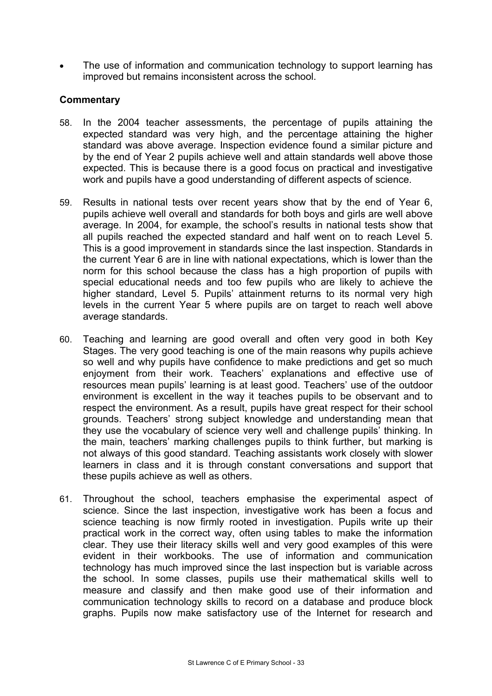The use of information and communication technology to support learning has improved but remains inconsistent across the school.

- 58. In the 2004 teacher assessments, the percentage of pupils attaining the expected standard was very high, and the percentage attaining the higher standard was above average. Inspection evidence found a similar picture and by the end of Year 2 pupils achieve well and attain standards well above those expected. This is because there is a good focus on practical and investigative work and pupils have a good understanding of different aspects of science.
- 59. Results in national tests over recent years show that by the end of Year 6, pupils achieve well overall and standards for both boys and girls are well above average. In 2004, for example, the school's results in national tests show that all pupils reached the expected standard and half went on to reach Level 5. This is a good improvement in standards since the last inspection. Standards in the current Year 6 are in line with national expectations, which is lower than the norm for this school because the class has a high proportion of pupils with special educational needs and too few pupils who are likely to achieve the higher standard, Level 5. Pupils' attainment returns to its normal very high levels in the current Year 5 where pupils are on target to reach well above average standards.
- 60. Teaching and learning are good overall and often very good in both Key Stages. The very good teaching is one of the main reasons why pupils achieve so well and why pupils have confidence to make predictions and get so much enjoyment from their work. Teachers' explanations and effective use of resources mean pupils' learning is at least good. Teachers' use of the outdoor environment is excellent in the way it teaches pupils to be observant and to respect the environment. As a result, pupils have great respect for their school grounds. Teachers' strong subject knowledge and understanding mean that they use the vocabulary of science very well and challenge pupils' thinking. In the main, teachers' marking challenges pupils to think further, but marking is not always of this good standard. Teaching assistants work closely with slower learners in class and it is through constant conversations and support that these pupils achieve as well as others.
- 61. Throughout the school, teachers emphasise the experimental aspect of science. Since the last inspection, investigative work has been a focus and science teaching is now firmly rooted in investigation. Pupils write up their practical work in the correct way, often using tables to make the information clear. They use their literacy skills well and very good examples of this were evident in their workbooks. The use of information and communication technology has much improved since the last inspection but is variable across the school. In some classes, pupils use their mathematical skills well to measure and classify and then make good use of their information and communication technology skills to record on a database and produce block graphs. Pupils now make satisfactory use of the Internet for research and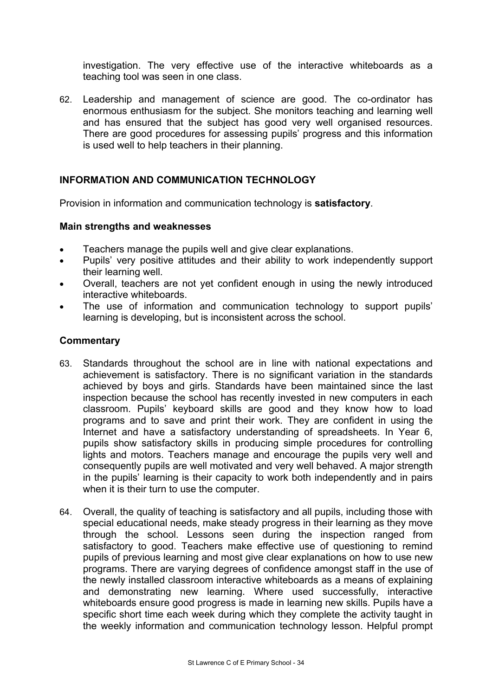investigation. The very effective use of the interactive whiteboards as a teaching tool was seen in one class.

62. Leadership and management of science are good. The co-ordinator has enormous enthusiasm for the subject. She monitors teaching and learning well and has ensured that the subject has good very well organised resources. There are good procedures for assessing pupils' progress and this information is used well to help teachers in their planning.

## **INFORMATION AND COMMUNICATION TECHNOLOGY**

Provision in information and communication technology is **satisfactory**.

#### **Main strengths and weaknesses**

- Teachers manage the pupils well and give clear explanations.
- Pupils' very positive attitudes and their ability to work independently support their learning well.
- Overall, teachers are not yet confident enough in using the newly introduced interactive whiteboards.
- The use of information and communication technology to support pupils' learning is developing, but is inconsistent across the school.

- 63. Standards throughout the school are in line with national expectations and achievement is satisfactory. There is no significant variation in the standards achieved by boys and girls. Standards have been maintained since the last inspection because the school has recently invested in new computers in each classroom. Pupils' keyboard skills are good and they know how to load programs and to save and print their work. They are confident in using the Internet and have a satisfactory understanding of spreadsheets. In Year 6, pupils show satisfactory skills in producing simple procedures for controlling lights and motors. Teachers manage and encourage the pupils very well and consequently pupils are well motivated and very well behaved. A major strength in the pupils' learning is their capacity to work both independently and in pairs when it is their turn to use the computer.
- 64. Overall, the quality of teaching is satisfactory and all pupils, including those with special educational needs, make steady progress in their learning as they move through the school. Lessons seen during the inspection ranged from satisfactory to good. Teachers make effective use of questioning to remind pupils of previous learning and most give clear explanations on how to use new programs. There are varying degrees of confidence amongst staff in the use of the newly installed classroom interactive whiteboards as a means of explaining and demonstrating new learning. Where used successfully, interactive whiteboards ensure good progress is made in learning new skills. Pupils have a specific short time each week during which they complete the activity taught in the weekly information and communication technology lesson. Helpful prompt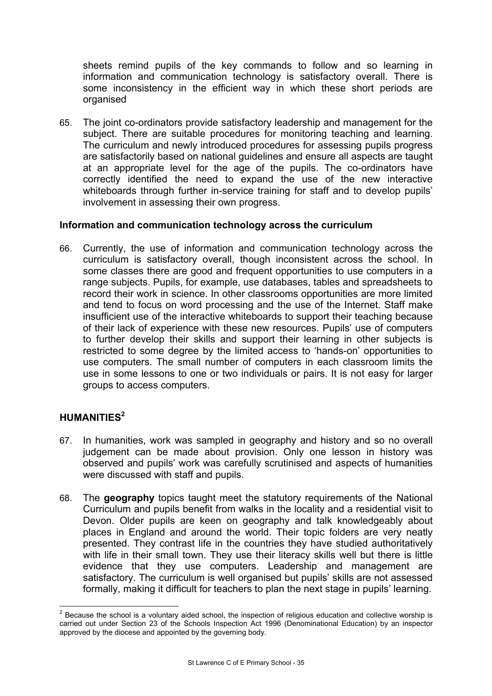sheets remind pupils of the key commands to follow and so learning in information and communication technology is satisfactory overall. There is some inconsistency in the efficient way in which these short periods are organised

65. The joint co-ordinators provide satisfactory leadership and management for the subject. There are suitable procedures for monitoring teaching and learning. The curriculum and newly introduced procedures for assessing pupils progress are satisfactorily based on national guidelines and ensure all aspects are taught at an appropriate level for the age of the pupils. The co-ordinators have correctly identified the need to expand the use of the new interactive whiteboards through further in-service training for staff and to develop pupils' involvement in assessing their own progress.

## **Information and communication technology across the curriculum**

66. Currently, the use of information and communication technology across the curriculum is satisfactory overall, though inconsistent across the school. In some classes there are good and frequent opportunities to use computers in a range subjects. Pupils, for example, use databases, tables and spreadsheets to record their work in science. In other classrooms opportunities are more limited and tend to focus on word processing and the use of the Internet. Staff make insufficient use of the interactive whiteboards to support their teaching because of their lack of experience with these new resources. Pupils' use of computers to further develop their skills and support their learning in other subjects is restricted to some degree by the limited access to 'hands-on' opportunities to use computers. The small number of computers in each classroom limits the use in some lessons to one or two individuals or pairs. It is not easy for larger groups to access computers.

# **HUMANITIES<sup>2</sup>**

- 67. In humanities, work was sampled in geography and history and so no overall judgement can be made about provision. Only one lesson in history was observed and pupils' work was carefully scrutinised and aspects of humanities were discussed with staff and pupils.
- 68. The **geography** topics taught meet the statutory requirements of the National Curriculum and pupils benefit from walks in the locality and a residential visit to Devon. Older pupils are keen on geography and talk knowledgeably about places in England and around the world. Their topic folders are very neatly presented. They contrast life in the countries they have studied authoritatively with life in their small town. They use their literacy skills well but there is little evidence that they use computers. Leadership and management are satisfactory. The curriculum is well organised but pupils' skills are not assessed formally, making it difficult for teachers to plan the next stage in pupils' learning.

<sup>&</sup>lt;u>2</u><br><sup>2</sup> Because the school is a voluntary aided school, the inspection of religious education and collective worship is carried out under Section 23 of the Schools Inspection Act 1996 (Denominational Education) by an inspector approved by the diocese and appointed by the governing body.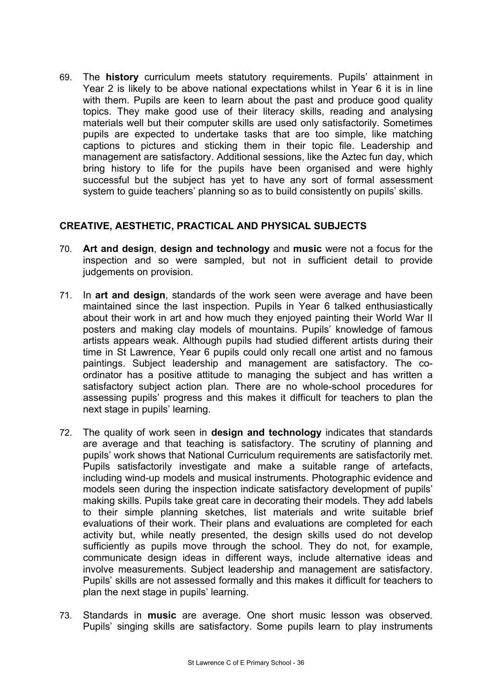69. The **history** curriculum meets statutory requirements. Pupils' attainment in Year 2 is likely to be above national expectations whilst in Year 6 it is in line with them. Pupils are keen to learn about the past and produce good quality topics. They make good use of their literacy skills, reading and analysing materials well but their computer skills are used only satisfactorily. Sometimes pupils are expected to undertake tasks that are too simple, like matching captions to pictures and sticking them in their topic file. Leadership and management are satisfactory. Additional sessions, like the Aztec fun day, which bring history to life for the pupils have been organised and were highly successful but the subject has yet to have any sort of formal assessment system to guide teachers' planning so as to build consistently on pupils' skills.

## **CREATIVE, AESTHETIC, PRACTICAL AND PHYSICAL SUBJECTS**

- 70. **Art and design**, **design and technology** and **music** were not a focus for the inspection and so were sampled, but not in sufficient detail to provide judgements on provision.
- 71. In **art and design**, standards of the work seen were average and have been maintained since the last inspection. Pupils in Year 6 talked enthusiastically about their work in art and how much they enjoyed painting their World War II posters and making clay models of mountains. Pupils' knowledge of famous artists appears weak. Although pupils had studied different artists during their time in St Lawrence, Year 6 pupils could only recall one artist and no famous paintings. Subject leadership and management are satisfactory. The coordinator has a positive attitude to managing the subject and has written a satisfactory subject action plan. There are no whole-school procedures for assessing pupils' progress and this makes it difficult for teachers to plan the next stage in pupils' learning.
- 72. The quality of work seen in **design and technology** indicates that standards are average and that teaching is satisfactory. The scrutiny of planning and pupils' work shows that National Curriculum requirements are satisfactorily met. Pupils satisfactorily investigate and make a suitable range of artefacts, including wind-up models and musical instruments. Photographic evidence and models seen during the inspection indicate satisfactory development of pupils' making skills. Pupils take great care in decorating their models. They add labels to their simple planning sketches, list materials and write suitable brief evaluations of their work. Their plans and evaluations are completed for each activity but, while neatly presented, the design skills used do not develop sufficiently as pupils move through the school. They do not, for example, communicate design ideas in different ways, include alternative ideas and involve measurements. Subject leadership and management are satisfactory. Pupils' skills are not assessed formally and this makes it difficult for teachers to plan the next stage in pupils' learning.
- 73. Standards in **music** are average. One short music lesson was observed. Pupils' singing skills are satisfactory. Some pupils learn to play instruments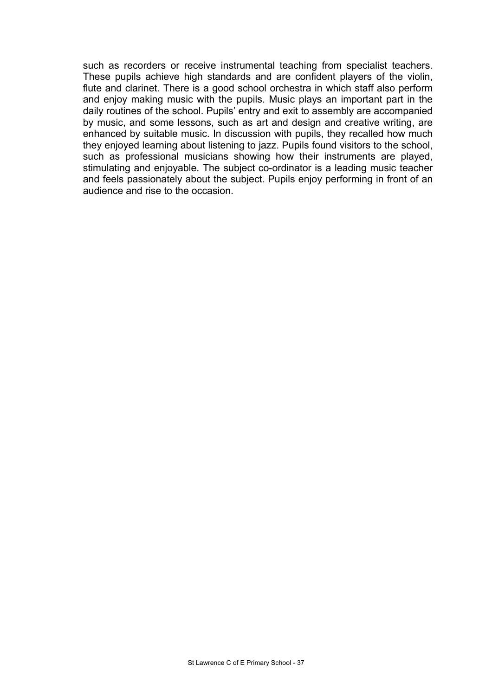such as recorders or receive instrumental teaching from specialist teachers. These pupils achieve high standards and are confident players of the violin, flute and clarinet. There is a good school orchestra in which staff also perform and enjoy making music with the pupils. Music plays an important part in the daily routines of the school. Pupils' entry and exit to assembly are accompanied by music, and some lessons, such as art and design and creative writing, are enhanced by suitable music. In discussion with pupils, they recalled how much they enjoyed learning about listening to jazz. Pupils found visitors to the school, such as professional musicians showing how their instruments are played, stimulating and enjoyable. The subject co-ordinator is a leading music teacher and feels passionately about the subject. Pupils enjoy performing in front of an audience and rise to the occasion.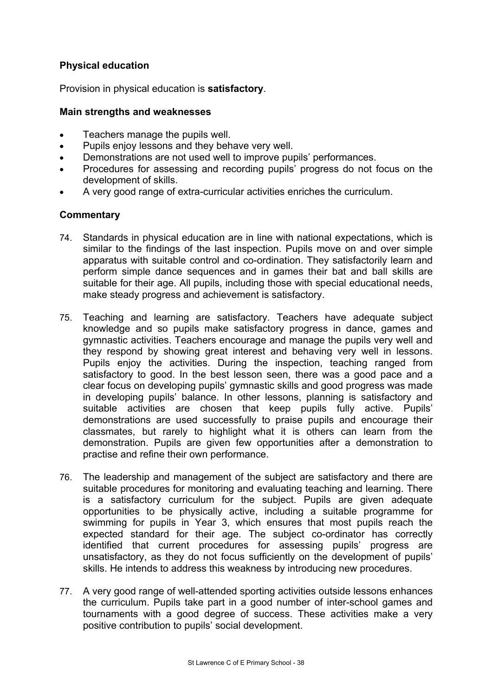# **Physical education**

Provision in physical education is **satisfactory**.

#### **Main strengths and weaknesses**

- Teachers manage the pupils well.
- Pupils enjoy lessons and they behave very well.
- Demonstrations are not used well to improve pupils' performances.
- Procedures for assessing and recording pupils' progress do not focus on the development of skills.
- A very good range of extra-curricular activities enriches the curriculum.

- 74. Standards in physical education are in line with national expectations, which is similar to the findings of the last inspection. Pupils move on and over simple apparatus with suitable control and co-ordination. They satisfactorily learn and perform simple dance sequences and in games their bat and ball skills are suitable for their age. All pupils, including those with special educational needs, make steady progress and achievement is satisfactory.
- 75. Teaching and learning are satisfactory. Teachers have adequate subject knowledge and so pupils make satisfactory progress in dance, games and gymnastic activities. Teachers encourage and manage the pupils very well and they respond by showing great interest and behaving very well in lessons. Pupils enjoy the activities. During the inspection, teaching ranged from satisfactory to good. In the best lesson seen, there was a good pace and a clear focus on developing pupils' gymnastic skills and good progress was made in developing pupils' balance. In other lessons, planning is satisfactory and suitable activities are chosen that keep pupils fully active. Pupils' demonstrations are used successfully to praise pupils and encourage their classmates, but rarely to highlight what it is others can learn from the demonstration. Pupils are given few opportunities after a demonstration to practise and refine their own performance.
- 76. The leadership and management of the subject are satisfactory and there are suitable procedures for monitoring and evaluating teaching and learning. There is a satisfactory curriculum for the subject. Pupils are given adequate opportunities to be physically active, including a suitable programme for swimming for pupils in Year 3, which ensures that most pupils reach the expected standard for their age. The subject co-ordinator has correctly identified that current procedures for assessing pupils' progress are unsatisfactory, as they do not focus sufficiently on the development of pupils' skills. He intends to address this weakness by introducing new procedures.
- 77. A very good range of well-attended sporting activities outside lessons enhances the curriculum. Pupils take part in a good number of inter-school games and tournaments with a good degree of success. These activities make a very positive contribution to pupils' social development.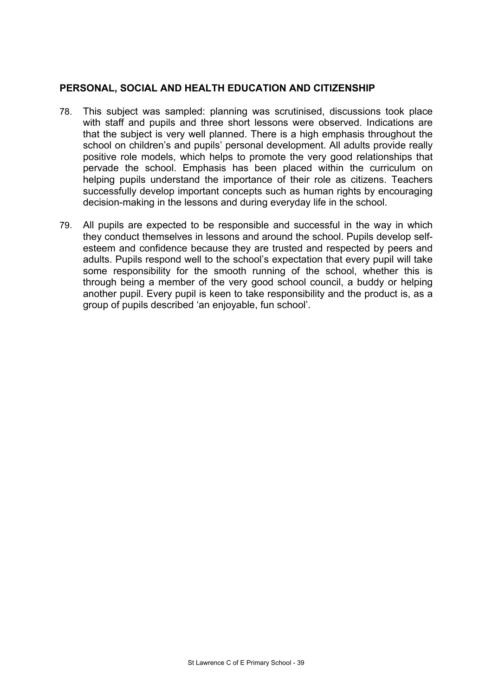## **PERSONAL, SOCIAL AND HEALTH EDUCATION AND CITIZENSHIP**

- 78. This subject was sampled: planning was scrutinised, discussions took place with staff and pupils and three short lessons were observed. Indications are that the subject is very well planned. There is a high emphasis throughout the school on children's and pupils' personal development. All adults provide really positive role models, which helps to promote the very good relationships that pervade the school. Emphasis has been placed within the curriculum on helping pupils understand the importance of their role as citizens. Teachers successfully develop important concepts such as human rights by encouraging decision-making in the lessons and during everyday life in the school.
- 79. All pupils are expected to be responsible and successful in the way in which they conduct themselves in lessons and around the school. Pupils develop selfesteem and confidence because they are trusted and respected by peers and adults. Pupils respond well to the school's expectation that every pupil will take some responsibility for the smooth running of the school, whether this is through being a member of the very good school council, a buddy or helping another pupil. Every pupil is keen to take responsibility and the product is, as a group of pupils described 'an enjoyable, fun school'.